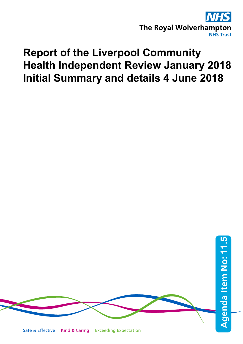

# **Report of the Liverpool Community Health Independent Review January 2018 Initial Summary and details 4 June 2018**

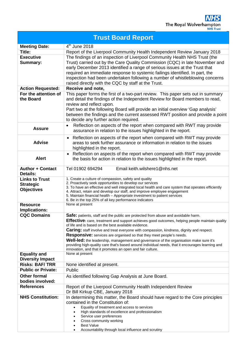| <b>Trust Board Report</b>                          |                                                                                                                                                                       |
|----------------------------------------------------|-----------------------------------------------------------------------------------------------------------------------------------------------------------------------|
| <b>Meeting Date:</b>                               | $4th$ June 2018                                                                                                                                                       |
| Title:                                             | Report of the Liverpool Community Health Independent Review January 2018                                                                                              |
| <b>Executive</b>                                   | The findings of an inspection of Liverpool Community Health NHS Trust (the                                                                                            |
| Summary:                                           | Trust) carried out by the Care Quality Commission (CQC) in late November and                                                                                          |
|                                                    | early December 2013 identified a range of serious issues at the Trust that                                                                                            |
|                                                    | required an immediate response to systemic failings identified. In part, the                                                                                          |
|                                                    | inspection had been undertaken following a number of whistleblowing concerns                                                                                          |
|                                                    | raised directly with the CQC by staff at the Trust.                                                                                                                   |
| <b>Action Requested:</b>                           | Receive and note,                                                                                                                                                     |
| For the attention of                               | This paper forms the first of a two-part review. This paper sets out in summary                                                                                       |
| the Board                                          | and detail the findings of the Independent Review for Board members to read,                                                                                          |
|                                                    | review and reflect upon.                                                                                                                                              |
|                                                    | Part two at the following Board will provide an initial overview 'Gap analysis'                                                                                       |
|                                                    | between the findings and the current assessed RWT position and provide a point                                                                                        |
|                                                    | to decide any further action required.                                                                                                                                |
| <b>Assure</b>                                      | Reflection on aspects of the report when compared with RWT may provide<br>$\bullet$                                                                                   |
|                                                    | assurance in relation to the issues highlighted in the report.                                                                                                        |
|                                                    | Reflection on aspects of the report when compared with RWT may provide<br>$\bullet$                                                                                   |
| <b>Advise</b>                                      | areas to seek further assurance or information in relation to the issues                                                                                              |
|                                                    | highlighted in the report.                                                                                                                                            |
| <b>Alert</b>                                       | Reflection on aspects of the report when compared with RWT may provide                                                                                                |
|                                                    | the basis for action in relation to the issues highlighted in the report.                                                                                             |
| <b>Author + Contact</b>                            | Email keith.wilshere1@nhs.net<br>Tel 01902 694294                                                                                                                     |
| <b>Details:</b>                                    |                                                                                                                                                                       |
| <b>Links to Trust</b>                              | 1. Create a culture of compassion, safety and quality                                                                                                                 |
| <b>Strategic</b>                                   | 2. Proactively seek opportunities to develop our services<br>3. To have an effective and well integrated local health and care system that operates efficiently       |
| <b>Objectives</b>                                  | 4. Attract, retain and develop our staff, and improve employee engagement                                                                                             |
|                                                    | 5. Maintain financial health - Appropriate investment to patient services                                                                                             |
| <b>Resource</b>                                    | 6. Be in the top 25% of all key performance indicators<br>None at present                                                                                             |
| <b>Implications:</b>                               |                                                                                                                                                                       |
| <b>CQC Domains</b>                                 | Safe: patients, staff and the public are protected from abuse and avoidable harm.                                                                                     |
|                                                    | Effective: care, treatment and support achieves good outcomes, helping people maintain quality                                                                        |
|                                                    | of life and is based on the best available evidence.                                                                                                                  |
|                                                    | Caring: staff involve and treat everyone with compassion, kindness, dignity and respect.                                                                              |
|                                                    | <b>Responsive:</b> services are organised so that they meet people's needs.<br>Well-led: the leadership, management and governance of the organisation make sure it's |
|                                                    | providing high-quality care that's based around individual needs, that it encourages learning and                                                                     |
|                                                    | innovation, and that it promotes an open and fair culture.                                                                                                            |
| <b>Equality and</b>                                | None at present                                                                                                                                                       |
| <b>Diversity Impact</b>                            |                                                                                                                                                                       |
| <b>Risks: BAF/TRR</b><br><b>Public or Private:</b> | None identified at present.<br>Public                                                                                                                                 |
|                                                    |                                                                                                                                                                       |
| <b>Other formal</b><br>bodies involved:            | As identified following Gap Analysis at June Board.                                                                                                                   |
| <b>References</b>                                  | Report of the Liverpool Community Health Independent Review                                                                                                           |
|                                                    | Dr Bill Kirkup CBE, January 2018                                                                                                                                      |
| <b>NHS Constitution:</b>                           | In determining this matter, the Board should have regard to the Core principles                                                                                       |
|                                                    | contained in the Constitution of:                                                                                                                                     |
|                                                    | Equality of treatment and access to services<br>$\bullet$                                                                                                             |
|                                                    | High standards of excellence and professionalism<br>$\bullet$<br>Service user preferences                                                                             |
|                                                    | ٠<br>Cross community working                                                                                                                                          |
|                                                    | <b>Best Value</b>                                                                                                                                                     |
|                                                    | Accountability through local influence and scrutiny                                                                                                                   |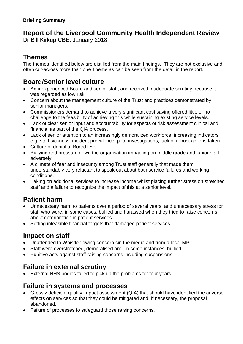### **Report of the Liverpool Community Health Independent Review**

Dr Bill Kirkup CBE, January 2018

### **Themes**

The themes identified below are distilled from the main findings. They are not exclusive and often cut-across more than one Theme as can be seen from the detail in the report.

### **Board/Senior level culture**

- An inexperienced Board and senior staff, and received inadequate scrutiny because it was regarded as low risk.
- Concern about the management culture of the Trust and practices demonstrated by senior managers.
- Commissioners demand to achieve a very significant cost saving offered little or no challenge to the feasibility of achieving this while sustaining existing service levels.
- Lack of clear senior input and accountability for aspects of risk assessment clinical and financial as part of the QIA process.
- Lack of senior attention to an increasingly demoralized workforce, increasing indicators e.g. staff sickness, incident prevalence, poor investigations, lack of robust actions taken.
- Culture of denial at Board level.
- Bullying and pressure down the organisation impacting on middle grade and junior staff adversely.
- A climate of fear and insecurity among Trust staff generally that made them understandably very reluctant to speak out about both service failures and working conditions.
- Taking on additional services to increase income whilst placing further stress on stretched staff and a failure to recognize the impact of this at a senior level.

### **Patient harm**

- Unnecessary harm to patients over a period of several years, and unnecessary stress for staff who were, in some cases, bullied and harassed when they tried to raise concerns about deterioration in patient services.
- Setting infeasible financial targets that damaged patient services.

### **Impact on staff**

- Unattended to Whistleblowing concern sin the media and from a local MP.
- Staff were overstretched, demoralised and, in some instances, bullied.
- Punitive acts against staff raising concerns including suspensions.

### **Failure in external scrutiny**

• External NHS bodies failed to pick up the problems for four years.

### **Failure in systems and processes**

- Grossly deficient quality impact assessment (QIA) that should have identified the adverse effects on services so that they could be mitigated and, if necessary, the proposal abandoned.
- Failure of processes to safeguard those raising concerns.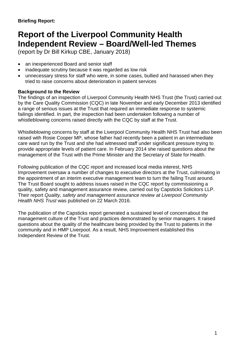### **Report of the Liverpool Community Health Independent Review – Board/Well-led Themes**

(report by Dr Bill Kirkup CBE, January 2018)

- an inexperienced Board and senior staff
- inadequate scrutiny because it was regarded as low risk
- unnecessary stress for staff who were, in some cases, bullied and harassed when they tried to raise concerns about deterioration in patient services

#### **Background to the Review**

The findings of an inspection of Liverpool Community Health NHS Trust (the Trust) carried out by the Care Quality Commission (CQC) in late November and early December 2013 identified a range of serious issues at the Trust that required an immediate response to systemic failings identified. In part, the inspection had been undertaken following a number of whistleblowing concerns raised directly with the CQC by staff at the Trust.

Whistleblowing concerns by staff at the Liverpool Community Health NHS Trust had also been raised with Rosie Cooper MP, whose father had recently been a patient in an intermediate care ward run by the Trust and she had witnessed staff under significant pressure trying to provide appropriate levels of patient care. In February 2014 she raised questions about the management of the Trust with the Prime Minister and the Secretary of State for Health.

Following publication of the CQC report and increased local media interest, NHS Improvement oversaw a number of changes to executive directors at the Trust, culminating in the appointment of an interim executive management team to turn the failing Trust around. The Trust Board sought to address issues raised in the CQC report by commissioning a quality, safety and management assurance review, carried out by Capsticks Solicitors LLP. Their report *Quality, safety and management assurance review at Liverpool Community Health NHS Trust* was published on 22 March 2016.

The publication of the Capsticks report generated a sustained level of concernabout the management culture of the Trust and practices demonstrated by senior managers. It raised questions about the quality of the healthcare being provided by the Trust to patients in the community and in HMP Liverpool. As a result, NHS Improvement established this Independent Review of the Trust.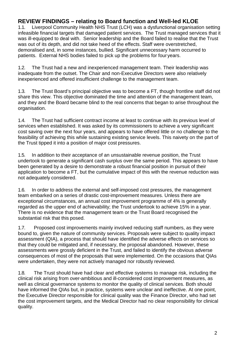## **REVIEW FINDINGS – relating to Board function and Well-led KLOE**

Liverpool Community Health NHS Trust (LCH) was a dysfunctional organisation setting infeasible financial targets that damaged patient services. The Trust managed services that it was ill-equipped to deal with. Senior leadership and the Board failed to realise that the Trust was out of its depth, and did not take heed of the effects. Staff were overstretched, demoralised and, in some instances, bullied. Significant unnecessary harm occurred to patients. External NHS bodies failed to pick up the problems for four years.

1.2. The Trust had a new and inexperienced management team. Their leadership was inadequate from the outset. The Chair and non-Executive Directors were also relatively inexperienced and offered insufficient challenge to the management team.

1.3. The Trust Board's principal objective was to become a FT, though frontline staff did not share this view. This objective dominated the time and attention of the management team, and they and the Board became blind to the real concerns that began to arise throughout the organisation.

1.4. The Trust had sufficient contract income at least to continue with its previous level of services when established. It was asked by its commissioners to achieve a very significant cost saving over the next four years, and appears to have offered little or no challenge to the feasibility of achieving this while sustaining existing service levels. This naivety on the part of the Trust tipped it into a position of major cost pressures.

1.5. In addition to their acceptance of an unsustainable revenue position, the Trust undertook to generate a significant cash surplus over the same period. This appears to have been generated by a desire to demonstrate a robust financial position in pursuit of their application to become a FT, but the cumulative impact of this with the revenue reduction was not adequately considered.

1.6. In order to address the external and self-imposed cost pressures, the management team embarked on a series of drastic cost-improvement measures. Unless there are exceptional circumstances, an annual cost improvement programme of 4% is generally regarded as the upper end of achievability; the Trust undertook to achieve 15% in a year. There is no evidence that the management team or the Trust Board recognised the substantial risk that this posed.

1.7. Proposed cost improvements mainly involved reducing staff numbers, as they were bound to, given the nature of community services. Proposals were subject to quality impact assessment (QIA), a process that should have identified the adverse effects on services so that they could be mitigated and, if necessary, the proposal abandoned. However, these assessments were grossly deficient in the Trust, and failed to identify the obvious adverse consequences of most of the proposals that were implemented. On the occasions that QIAs were undertaken, they were not actively managed nor robustly reviewed.

1.8. The Trust should have had clear and effective systems to manage risk, including the clinical risk arising from over-ambitious and ill-considered cost improvement measures, as well as clinical governance systems to monitor the quality of clinical services. Both should have informed the QIAs but, in practice, systems were unclear and ineffective. At one point, the Executive Director responsible for clinical quality was the Finance Director, who had set the cost improvement targets, and the Medical Director had no clear responsibility for clinical quality.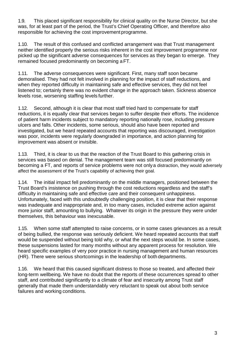1.9. This placed significant responsibility for clinical quality on the Nurse Director, but she was, for at least part of the period, the Trust's Chief Operating Officer, and therefore also responsible for achieving the cost improvement programme.

1.10. The result of this confused and conflicted arrangement was that Trust management neither identified properly the serious risks inherent in the cost improvement programme nor picked up the significant adverse consequences for services as they began to emerge. They remained focused predominantly on becoming aFT.

1.11. The adverse consequences were significant. First, many staff soon became demoralised. They had not felt involved in planning for the impact of staff reductions, and when they reported difficulty in maintaining safe and effective services, they did not feel listened to; certainly there was no evident change in the approach taken. Sickness absence levels rose, worsening staffing levels further.

1.12. Second, although it is clear that most staff tried hard to compensate for staff reductions, it is equally clear that services began to suffer despite their efforts. The incidence of patient harm incidents subject to mandatory reporting nationally rose, including pressure ulcers and falls. Other incidents, some serious, should also have been reported and investigated, but we heard repeated accounts that reporting was discouraged, investigation was poor, incidents were regularly downgraded in importance, and action planning for improvement was absent or invisible.

1.13. Third, it is clear to us that the reaction of the Trust Board to this gathering crisis in services was based on denial. The management team was still focused predominantly on becoming a FT, and reports of service problems were not onlya distraction, they would adversely affect the assessment of the Trust's capability of achieving their goal.

1.14. The initial impact fell predominantly on the middle managers, positioned between the Trust Board's insistence on pushing through the cost reductions regardless and the staff's difficulty in maintaining safe and effective care and their consequent unhappiness. Unfortunately, faced with this undoubtedly challenging position, it is clear that their response was inadequate and inappropriate and, in too many cases, included extreme action against more junior staff, amounting to bullying. Whatever its origin in the pressure they were under themselves, this behaviour was inexcusable.

1.15. When some staff attempted to raise concerns, or in some cases grievances as a result of being bullied, the response was seriously deficient. We heard repeated accounts that staff would be suspended without being told why, or what the next steps would be. In some cases, these suspensions lasted for many months without any apparent process for resolution. We heard specific examples of very poor practice in nursing management and human resources (HR). There were serious shortcomings in the leadership of both departments.

1.16. We heard that this caused significant distress to those so treated, and affected their long-term wellbeing. We have no doubt that the reports of these occurrences spread to other staff, and contributed significantly to a climate of fear and insecurity among Trust staff generally that made them understandably very reluctant to speak out about both service failures and working conditions.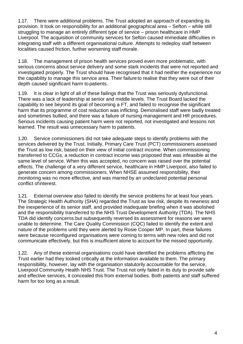1.17. There were additional problems. The Trust adopted an approach of expanding its provision. It took on responsibility for an additional geographical area – Sefton – while still struggling to manage an entirely different type of service – prison healthcare in HMP Liverpool. The acquisition of community services for Sefton caused immediate difficulties in integrating staff with a different organisational culture. Attempts to redeploy staff between localities caused friction, further worsening staff morale.

1.18. The management of prison health services proved even more problematic, with serious concerns about service delivery and some stark incidents that were not reported and investigated properly. The Trust should have recognised that it had neither the experience nor the capability to manage this service area. Their failure to realise that they were out of their depth caused significant harm to patients.

1.19. It is clear in light of all of these failings that the Trust was seriously dysfunctional. There was a lack of leadership at senior and middle levels. The Trust Board lacked the capability to see beyond its goal of becoming a FT, and failed to recognise the significant harm that its programme of cost reduction was inflicting. Demoralised staff were badly treated and sometimes bullied, and there was a failure of nursing management and HR procedures. Serious incidents causing patient harm were not reported, not investigated and lessons not learned. The result was unnecessary harm to patients.

1.20. Service commissioners did not take adequate steps to identify problems with the services delivered by the Trust. Initially, Primary Care Trust (PCT) commissioners assessed the Trust as low risk, based on their view of initial contract income. When commissioning transferred to CCGs, a reduction in contract income was proposed that was infeasible at the same level of service. When this was accepted, no concern was raised over the potential effects. The challenge of a very different service, healthcare in HMP Liverpool, also failed to generate concern among commissioners. When NHSE assumed responsibility, their monitoring was no more effective, and was marred by an undeclared potential personal conflict of interest.

1.21. External overview also failed to identify the service problems for at least four years. The Strategic Health Authority (SHA) regarded the Trust as low risk, despite its newness and the inexperience of its senior staff, and provided inadequate briefing when it was abolished and the responsibility transferred to the NHS Trust Development Authority (TDA). The NHS TDA did identify concerns but subsequently reversed its assessment for reasons we were unable to determine. The Care Quality Commission (CQC) failed to identify the extent and nature of the problems until they were alerted by Rosie Cooper MP. In part, these failures were because reconfigured organisations were coming to terms with new roles and did not communicate effectively, but this is insufficient alone to account for the missed opportunity.

1.22. Any of these external organisations could have identified the problems afflicting the Trust earlier had they looked critically at the information available to them. The primary responsibility, however, lay with the organisation statutorily accountable for the service, Liverpool Community Health NHS Trust. The Trust not only failed in its duty to provide safe and effective services, it concealed this from external bodies. Both patients and staff suffered harm for too long as a result.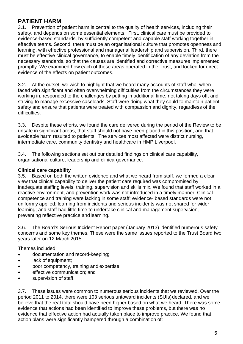## **PATIENT HARM**<br>3.1. Prevention of

3.1. Prevention of patient harm is central to the quality of health services, including their safety, and depends on some essential elements. First, clinical care must be provided to evidence-based standards, by sufficiently competent and capable staff working together in effective teams. Second, there must be an organisational culture that promotes openness and learning, with effective professional and managerial leadership and supervision. Third, there must be effective clinical governance, to enable timely identification of any deviation from the necessary standards, so that the causes are identified and corrective measures implemented promptly. We examined how each of these areas operated in the Trust, and looked for direct evidence of the effects on patient outcomes.

3.2. At the outset, we wish to highlight that we heard many accounts of staff who, when faced with significant and often overwhelming difficulties from the circumstances they were working in, responded to the challenges by putting in additional time, not taking days off, and striving to manage excessive caseloads. Staff were doing what they could to maintain patient safety and ensure that patients were treated with compassion and dignity, regardless of the difficulties.

3.3. Despite these efforts, we found the care delivered during the period of the Review to be unsafe in significant areas, that staff should not have been placed in this position, and that avoidable harm resulted to patients. The services most affected were district nursing, intermediate care, community dentistry and healthcare in HMP Liverpool.

3.4. The following sections set out our detailed findings on clinical care capability, organisational culture, leadership and clinicalgovernance.

#### **Clinical care capability**

3.5. Based on both the written evidence and what we heard from staff, we formed a clear view that clinical capability to deliver the patient care required was compromised by inadequate staffing levels, training, supervision and skills mix. We found that staff worked in a reactive environment, and prevention work was not introduced in a timely manner. Clinical competence and training were lacking in some staff; evidence- based standards were not uniformly applied; learning from incidents and serious incidents was not shared for wider learning; and staff had little time to undertake clinical and management supervision, preventing reflective practice and learning.

3.6. The Board's Serious Incident Report paper (January 2013) identified numerous safety concerns and some key themes. These were the same issues reported to the Trust Board two years later on 12 March 2015.

Themes included:

- documentation and record-keeping;
- lack of equipment;
- poor competency, training and expertise;
- effective communication; and
- supervision of staff.

3.7. These issues were common to numerous serious incidents that we reviewed. Over the period 2011 to 2014, there were 103 serious untoward incidents (SUIs)declared, and we believe that the real total should have been higher based on what we heard. There was some evidence that actions had been identified to improve these problems, but there was no evidence that effective action had actually taken place to improve practice. We found that action plans were significantly hampered through a combination of: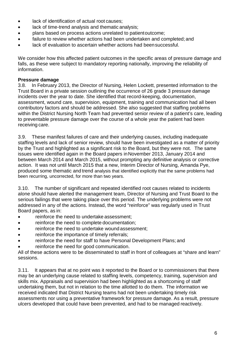- lack of identification of actual root causes;
- lack of time-trend analysis and thematic analysis;
- plans based on process actions unrelated to patientoutcome;
- failure to review whether actions had been undertaken and completed; and
- lack of evaluation to ascertain whether actions had been successful.

We consider how this affected patient outcomes in the specific areas of pressure damage and falls, as these were subject to mandatory reporting nationally, improving the reliability of information.

#### **Pressure damage**

3.8. In February 2013, the Director of Nursing, Helen Lockett, presented information to the Trust Board in a private session outlining the occurrence of 26 grade 3 pressure damage incidents over the year to date. She identified that record-keeping, documentation, assessment, wound care, supervision, equipment, training and communication had all been contributory factors and should be addressed. She also suggested that staffing problems within the District Nursing North Team had prevented senior review of a patient's care, leading to preventable pressure damage over the course of a whole year the patient had been receiving care.

3.9. These manifest failures of care and their underlying causes, including inadequate staffing levels and lack of senior review, should have been investigated as a matter of priority by the Trust and highlighted as a significant risk to the Board, but they were not. The same issues were identified again in the Board papers inNovember 2013, January 2014 and between March 2014 and March 2015, without prompting any definitive analysis or corrective action. It was not until March 2015 that a new, Interim Director of Nursing, Amanda Pye, produced some thematic and trend analysis that identified explicitly that the same problems had been recurring, uncorrected, for more than two years.

3.10. The number of significant and repeated identified root causes related to incidents alone should have alerted the management team, Director of Nursing and Trust Board to the serious failings that were taking place over this period. The underlying problems were not addressed in any of the actions. Instead, the word "reinforce" was regularly used in Trust Board papers, as in:

- reinforce the need to undertake assessment;
- reinforce the need to complete documentation;
- reinforce the need to undertake wound assessment;
- reinforce the importance of timely referrals;
- reinforce the need for staff to have Personal Development Plans; and
- reinforce the need for good communication.

All of these actions were to be disseminated to staff in front of colleagues at "share and learn" sessions.

3.11. It appears that at no point was it reported to the Board or to commissioners that there may be an underlying cause related to staffing levels, competency, training, supervision and skills mix. Appraisals and supervision had been highlighted as a shortcoming of staff undertaking them, but not in relation to the time allotted to do them. The information we received indicated that District Nursing teams had not been undertaking timely risk assessments nor using a preventative framework for pressure damage. As a result, pressure ulcers developed that could have been prevented, and had to be managed reactively.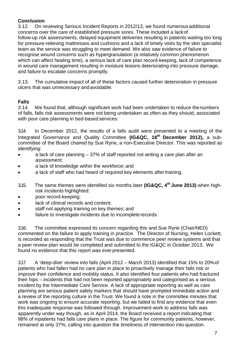#### **Conclusion**

3.12. On reviewing Serious Incident Reports in 2012/13, we found numerousadditional concerns over the care of established pressure sores. These included a lackof follow-up risk assessments, delayed equipment deliveries resulting in patients waiting too long for pressure-relieving mattresses and cushions and a lack of timely visits by the skin specialist team as the service was struggling to meet demand. We also saw evidence of failure to recognise wound concerns such as hypergranulation (a relatively common phenomenon which can affect healing time), a serious lack of care plan record-keeping, lack of competence in wound care management resulting in moisture lesions deteriorating into pressure damage, and failure to escalate concerns promptly.

3.13. The cumulative impact of all of these factors caused further deterioration in pressure ulcers that was unnecessary and avoidable.

## **Falls**

We found that, although significant work had been undertaken to reduce thenumbers of falls, falls risk assessments were not being undertaken as often as they should, associated with poor care planning in bed-based services.

3.14. In December 2012, the results of a falls audit were presented to a meeting of the Integrated Governance and Quality Committee **(IG&QC, 18th December 2012),** a subcommittee of the Board chaired by Sue Ryrie, a non-Executive Director. This was reported as identifying:

- a lack of care planning 37% of staff reported not writing a care plan after an assessment;
- a lack of knowledge within the workforce; and
- a lack of staff who had heard of required key elements after training.
- 3.15. The same themes were identified six months later **(IG&QC, 4th June 2013)** when highrisk incidents highlighted:
- poor record-keeping;
- lack of clinical records and content:
- staff not applying training on key themes; and
- failure to investigate incidents due to incomplete records.

3.16. The committee expressed its concern regarding this and Sue Ryrie (Chair/NED) commented on the failure to apply training in practice. The Director of Nursing, Helen Lockett, is recorded as responding that the Trust was due to commence peer review systems and that a peer review plan would be completed and submitted to the IG&QC in October 2013. We found no evidence that this report was everpresented.

3.17. A 'deep-dive' review into falls (April 2012 – March 2013) identified that 15% to 20%of patients who had fallen had no care plan in place to proactively manage their falls risk or improve their confidence and mobility status. It also identified four patients who had fractured their hips – incidents that had not been reported appropriately and categorised as a serious incident by the Intermediate Care Service. A lack of appropriate reporting as well as care planning are serious patient safety markers that should have prompted immediate action and a review of the reporting culture in the Trust. We found a note in the committee minutes that work was ongoing to ensure accurate reporting, but we failed to find any evidence that even this inadequate response was followed through. Improvement work to address falls was apparently under way though, as in April 2014, the Board received a report indicating that 98% of inpatients had falls care plans in place. The figure for community patients, however, remained at only 37%, calling into question the timeliness of intervention into question.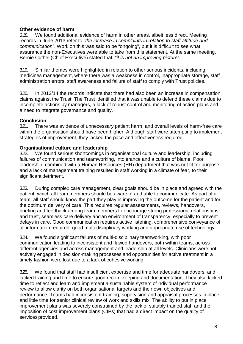## **Other evidence of harm**<br>318 We found addition

*3.18.* We found additional evidence of harm in other areas, albeit less direct. Meeting records in June 2013 refer to "*the increase in complaints in relation to staff attitude and communication"*. Work on this was said to be "ongoing", but it is difficult to see what assurance the non-Executives were able to take from this statement. At the same meeting, Bernie Cuthel (Chief Executive) stated that: "*it is not an improving picture".*

3.19. Similar themes were highlighted in relation to other serious incidents, including medicines management, where there was a weakness in control, inappropriate storage, staff administration errors, staff awareness and failure of staff to comply with Trust policies.

3.20. In 2013/14 the records indicate that there had also been an increase in compensation claims against the Trust. The Trust identified that it was unable to defend these claims due to incomplete actions by managers, a lack of robust control and monitoring of action plans and a need tointegrate governance and quality.

#### **Conclusion**

3.21. There was evidence of unnecessary patient harm, and overall levels of harm-free care within the organisation should have been higher. Although staff were attempting to implement strategies of improvement, they lacked the pace and effectiveness required.

#### **Organisational culture and leadership**

3.22. We found serious shortcomings in organisational culture and leadership, including failures of communication and teamworking, intolerance and a culture of blame. Poor leadership, combined with a Human Resources (HR) department that was not fit for purpose and a lack of management training resulted in staff working in a climate of fear, to their significant detriment.

3.23. During complex care management, clear goals should be in place and agreed with the patient, which all team members should be aware of and able to communicate. As part of a team, all staff should know the part they play in improving the outcome for the patient and for the optimum delivery of care. This requires regular assessments, reviews, handovers, briefing and feedback among team members to encourage strong professional relationships and trust, seamless care delivery andan environment of transparency, especially to prevent delays in care. Good communication requires active listening, comprehensive conveyance of all information required, good multi-disciplinary working and appropriate use of technology.

3.24. We found significant failures of multi-disciplinary teamworking, with poor communication leading to inconsistent and flawed handovers, both within teams, across different agencies and across management and leadership at all levels. Clinicians were not actively engaged in decision-making processes and opportunities for active treatment in a timely fashion were lost due to a lack of cohesive working.

3.25. We found that staff had insufficient expertise and time for adequate handovers, and lacked training and time to ensure good record-keeping and documentation. They also lacked time to reflect and learn and implement a sustainable system ofindividual performance review to allow clarity on both organisational targets and their own objectives and performance. Teams had inconsistent training, supervision and appraisal processes in place, and little time for senior clinical review of work and skills mix. The ability to put in place improvement plans was severely constrained by the lack of suitably trained staff and the imposition of cost improvement plans (CIPs) that had a direct impact on the quality of services provided.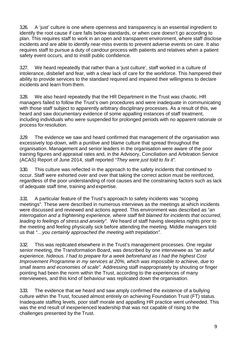3.26. A 'just' culture is one where openness and transparency is an essential ingredient to identify the root cause if care falls below standards, or when care doesn't go according to plan. This requires staff to work in an open and transparent environment, where staff disclose incidents and are able to identify near-miss events to prevent adverse events on care. It also requires staff to pursue a duty of candour process with patients and relatives when a patient safety event occurs, and to instill public confidence.

3.27. We heard repeatedly that rather than a 'just culture', staff worked in a culture of intolerance, disbelief and fear, with a clear lack of care for the workforce. This hampered their ability to provide services to the standard required and impaired their willingness to declare incidents and learn from them.

3.28. We also heard repeatedly that the HR Department in the Trust was chaotic. HR managers failed to follow the Trust's own procedures and were inadequate in communicating with those staff subject to apparently arbitrary disciplinary processes. As a result of this, we heard and saw documentary evidence of some appalling instances of staff treatment, including individuals who were suspended for prolonged periods with no apparent rationale or process for resolution.

*3.29.* The evidence we saw and heard confirmed that management of the organisation was excessively top-down, with a punitive and blame culture that spread throughout the organisation. Management and senior leaders in the organisation were aware of the poor training figures and appraisal rates and, in the Advisory, Conciliation and Arbitration Service (ACAS) Report of June 2014, staff reported *"They were just told to fix it".*

3.30. This culture was reflected in the approach to the safety incidents that continued to occur. Staff were exhorted over and over that taking the correct action must be reinforced, regardless of the poor understanding of root causes and the constraining factors such as lack of adequate staff time, training and expertise.

*3.31.* A particular feature of the Trust's approach to safety incidents was "scoping meetings". These were described in numerous interviews as the meetings at which incidents were discussed and reviewed and actions agreed. This environment was described as "*an interrogation and a frightening experience, where staff felt blamed for incidents that occurred, leading to feelings of stress and anxiety".* We heard of staff having sleepless nights prior to the meeting and feeling physically sick before attending the meeting. Middle managers told us that *"…you certainly approached the meeting with trepidation".*

3.32. This was replicated elsewhere in the Trust's management processes. One regular senior meeting, the Transformation Board, was described by one interviewee as *"an awful experience, hideous. I had to prepare for a week beforehand as I had the highest Cost Improvement Programme in my services at 20%, which was impossible to achieve, due to small teams and economies of scale".* Addressing staff inappropriately by shouting or finger pointing had been the norm within the Trust, according to the experiences of many interviewees, and this kind of behaviour was replicated down the organisation.

3.33. The evidence that we heard and saw amply confirmed the existence of a bullying culture within the Trust, focused almost entirely on achieving Foundation Trust (FT) status. Inadequate staffing levels, poor staff morale and appalling HR practice went unheeded. This was the end result of inexperienced leadership that was not capable of rising to the challenges presented by the Trust.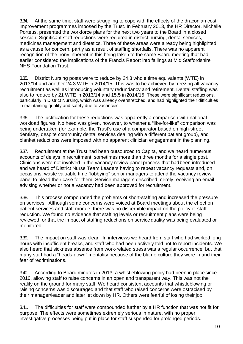3.34. At the same time, staff were struggling to cope with the effects of the draconian cost improvement programmes imposed by the Trust. In February 2013, the HR Director, Michelle Porteus, presented the workforce plans for the next two years to the Board in a closed session. Significant staff reductions were required in district nursing, dental services, medicines management and dietetics. Three of these areas were already being highlighted as a cause for concern, partly as a result of staffing shortfalls. There was no apparent recognition of the irony inherent in this being taken to the same Board meeting that had earlier considered the implications of the Francis Report into failings at Mid Staffordshire NHS Foundation Trust.

3.35. District Nursing posts were to reduce by 24.3 whole time equivalents (WTE) in 2013/14 and another 24.3 WTE in 2014/15. This was to be achieved by freezing all vacancy recruitment as well as introducing voluntary redundancy and retirement. Dental staffing was also to reduce by 21 WTE in 2013/14 and 15.5 in2014/15. These were significant reductions, particularly in District Nursing, which was already overstretched, and had highlighted their difficulties in maintaining quality and safety due to vacancies.

3.36. The justification for these reductions was apparently a comparison with national workload figures. No heed was given, however, to whether a "like-for-like" comparison was being undertaken (for example, the Trust's use of a comparator based on high-street dentistry, despite community dental services dealing with a different patient group), and blanket reductions were imposed with no apparent clinician engagement in the planning.

3.37. Recruitment at the Trust had been outsourced to Capita, and we heard numerous accounts of delays in recruitment, sometimes more than three months for a single post. Clinicians were not involved in the vacancy review panel process that hadbeen introduced and we heard of District Nurse Team Leaders having to repeat vacancy requests and, on occasions, waste valuable time "lobbying" senior managers to attend the vacancy review panel to plead their case for them. Service managers described merely receiving an email advising whether or not a vacancy had been approved for recruitment.

3.38. This process compounded the problems of short-staffing and increased the pressure on services. Although some concerns were voiced at Board meetings about the effect on patient services and staff morale, there was no discernible impact on the policy of staff reduction. We found no evidence that staffing levels or recruitment plans were being reviewed, or that the impact of staffing reductions on service quality was being evaluated or monitored.

3.39. The impact on staff was clear. In interviews we heard from staff who had worked long hours with insufficient breaks, and staff who had been actively told not to report incidents. We also heard that sickness absence from work-related stress was a regular occurrence, but that many staff had a "heads-down" mentality because of the blame culture they were in and their fear of recriminations.

3.40. According to Board minutes in 2013, a whistleblowing policy had been in placesince 2010, allowing staff to raise concerns in an open and transparent way. This was not the reality on the ground for many staff. We heard consistent accounts that whistleblowing or raising concerns was discouraged and that staff who raised concerns were ostracised by their manager/leader and later let down by HR. Others were fearful of losing their job.

3.41. The difficulties for staff were compounded further by a HR function that was not fit for purpose. The effects were sometimes extremely serious in nature, with no proper investigative processes being put in place for staff suspended for prolonged periods.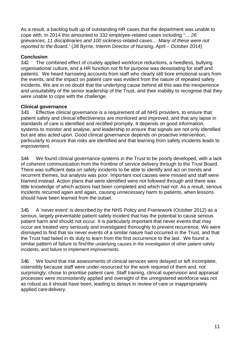As a result, a backlog built up of outstanding HR cases that the department was unable to cope with. In 2014 this amounted to 332 employee-related cases including *"… 26 grievances, 11 disciplinaries and 100 sickness-related cases… Many of these were not reported to the Board."* (Jill Byrne, Interim Director of Nursing, April – October 2014)

### **Conclusion**<br>342 The c

The combined effect of crudely applied workforce reductions, a heedless, bullying organisational culture, and a HR function not fit for purpose was devastating for staff and patients. We heard harrowing accounts from staff who clearly still bore emotional scars from the events, and the impact on patient care was evident from the nature of repeated safety incidents. We are in no doubt that the underlying cause behind all this was the inexperience and unsuitability of the senior leadership of the Trust, and their inability to recognise that they were unable to cope with the challenge.

## **Clinical governance**<br>343. Effective clinica

Effective clinical governance is a requirement of all NHS providers, to ensure that patient safety and clinical effectiveness are monitored and improved, and that any lapse in standards of care is identified and rectified promptly. It depends on good information, systems to monitor and analyse, and leadership to ensure that signals are not only identified but are also acted upon. Good clinical governance depends on proactive intervention, particularly to ensure that risks are identified and that learning from safety incidents leads to improvement.

3.44. We found clinical governance systems in the Trust to be poorly developed, with a lack of coherent communication from the frontline of service delivery through to the Trust Board. There was sufficient data on safety incidents to be able to identify and act on trends and recurrent themes, but analysis was poor. Important root causes were missed and staff were blamed instead. Action plans that were identified were not followed through and there was little knowledge of which actions had been completed and which had not. As a result, serious incidents recurred again and again, causing unnecessary harm to patients, when lessons should have been learned from the outset.

3.45. A 'never event' is described by the NHS Policy and Framework (October 2012) as a serious, largely preventable patient safety incident that has the potential to cause serious patient harm and should not occur. It is particularly important that never events that may occur are treated very seriously and investigated thoroughly to prevent recurrence. We were dismayed to find that six never events of a similar nature had occurred in the Trust, and that the Trust had failed in its duty to learn from the first occurrence to the last. We found a similar pattern of failure to find the underlying causes in the investigation of other patient safety incidents, and failure to implement improvements.

3.46. We found that risk assessments of clinical services were delayed or left incomplete, ostensibly because staff were under-resourced for the work required of them and, not surprisingly, chose to prioritise patient care. Staff training, clinical supervision and appraisal processes were inconsistently applied and oversight of the unregistered workforce was not as robust as it should have been, leading to delays in review of care or inappropriately applied care delivery.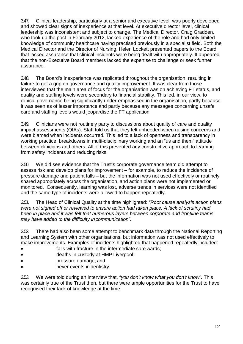3.47. Clinical leadership, particularly at a senior and executive level, was poorly developed and showed clear signs of inexperience at that level. At executive director level, clinical leadership was inconsistent and subject to change. The Medical Director, Craig Gradden, who took up the post in February 2012, lacked experience of the role and had only limited knowledge of community healthcare having practised previously in a specialist field. Both the Medical Director and the Director of Nursing, Helen Lockett presented papers to the Board that lacked assurance that clinical incidents were being dealt with appropriately. It appeared that the non-Executive Board members lacked the expertise to challenge or seek further assurance.

3.48. The Board's inexperience was replicated throughout the organisation, resulting in failure to get a grip on governance and quality improvement. It was clear from those interviewed that the main area of focus for the organisation was on achieving FT status, and quality and staffing levels were secondary to financial stability. This led, in our view, to clinical governance being significantly under-emphasised in the organisation, partly because it was seen as of lesser importance and partly because any messages concerning unsafe care and staffing levels would jeopardise the FT application.

3.49. Clinicians were not routinely party to discussions about quality of care and quality impact assessments (QIAs). Staff told us that they felt unheeded when raising concerns and were blamed when incidents occurred. This led to a lack of openness and transparency in working practice, breakdowns in multi-disciplinary working and an "us and them" attitude between clinicians and others. All of this prevented any constructive approach to learning from safety incidents and reducing risks.

3.50. We did see evidence that the Trust's corporate governance team did attempt to assess risk and develop plans for improvement – for example, to reduce the incidence of pressure damage and patient falls – but the information was not used effectively or routinely shared appropriately across the organisation, and action plans were not implemented or monitored. Consequently, learning was lost, adverse trends in services were not identified and the same type of incidents were allowed to happen repeatedly.

*3.51.* The Head of Clinical Quality at the time highlighted: *"Root cause analysis action plans were not signed off or reviewed to ensure action had taken place. A lack of scrutiny had been in place and it was felt that numerous layers between corporate and frontline teams may have added to the difficulty in communication".*

3.52. There had also been some attempt to benchmark data through the National Reporting and Learning System with other organisations, but information was not used effectively to make improvements. Examples of incidents highlighted that happened repeatedly included:

- falls with fracture in the intermediate care wards;
- deaths in custody at HMP Liverpool;
- pressure damage; and
- never events in dentistry.

3.53. We were told during an interview that, "*you* d*on't know what you don't know".* This was certainly true of the Trust then, but there were ample opportunities for the Trust to have recognised their lack of knowledge at the time.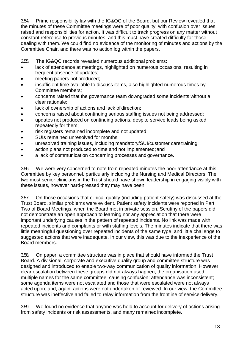3.54. Prime responsibility lay with the IG&QC of the Board, but our Review revealed that the minutes of these Committee meetings were of poor quality, with confusion over issues raised and responsibilities for action. It was difficult to track progress on any matter without constant reference to previous minutes, and this must have created difficulty for those dealing with them. We could find no evidence of the monitoring of minutes and actions by the Committee Chair, and there was no action log within the papers.

3.55. The IG&QC records revealed numerous additional problems:

- lack of attendance at meetings, highlighted on numerous occasions, resulting in frequent absence of updates;
- meeting papers not produced;
- insufficient time available to discuss items, also highlighted numerous times by Committee members;
- concerns raised that the governance team downgraded some incidents without a clear rationale;
- lack of ownership of actions and lack of direction;
- concerns raised about continuing serious staffing issues not being addressed;
- updates not produced on continuing actions, despite service leads being asked repeatedly for them;
- risk registers remained incomplete and not updated;
- SUIs remained unresolved for months:
- unresolved training issues, including mandatory/SUI/customer care training;
- action plans not produced to time and not implemented;and
- a lack of communication concerning processes and governance.

3.56. We were very concerned to note from repeated minutes the poor attendance at this Committee by key personnel, particularly including the Nursing and Medical Directors. The two most senior clinicians in the Trust should have shown leadership in engaging visibly with these issues, however hard-pressed they may have been.

3.57. On those occasions that clinical quality (including patient safety) was discussed at the Trust Board, similar problems were evident. Patient safety incidents were reported in Part Two of Board Meetings, when the Board met in private session. Scrutiny of the papers did not demonstrate an open approach to learning nor any appreciation that there were important underlying causes in the pattern of repeated incidents. No link was made with repeated incidents and complaints or with staffing levels. The minutes indicate that there was little meaningful questioning over repeated incidents of the same type, and little challenge to suggested actions that were inadequate. In our view, this was due to the inexperience of the Board members.

3.58. On paper, a committee structure was in place that should have informed the Trust Board. A divisional, corporate and executive quality group and committee structure was designed and introduced to enable two-way communication of quality information. However, clear escalation between these groups did not always happen; the organisation used multiple names for the same committee, causing confusion; attendance was inconsistent; some agenda items were not escalated and those that were escalated were not always acted upon; and, again, actions were not undertaken or reviewed. In our view, the Committee structure was ineffective and failed to relay information from the frontline of service delivery.

3.59. We found no evidence that anyone was held to account for delivery of actions arising from safety incidents or risk assessments, and many remainedincomplete.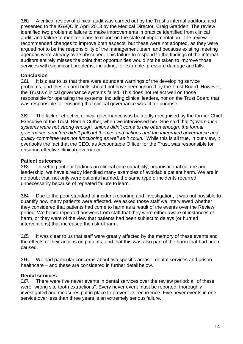3.60. A critical review of clinical audit was carried out by the Trust's internal auditors, and presented to the IG&QC in April 2013 by the Medical Director, Craig Gradden. The review identified two problems: failure to make improvements in practice identified from clinical audit; and failure to monitor plans to report on the state of implementation. The review recommended changes to improve both aspects, but these were not adopted, as they were argued not to be the responsibility of the management team, and because existing meeting agendas were already oversubscribed. This failure to respond to the findings of the internal auditors entirely misses the point that opportunities would not be taken to improve those services with significant problems, including, for example, pressure damage andfalls.

## **Conclusion**<br>361. It is cl

It is clear to us that there were abundant warnings of the developing service problems, and these alarm bells should not have been ignored by the Trust Board. However, the Trust's clinical governance systems failed. This does not reflect well on those responsible for operating the systems, including clinical leaders, nor on the Trust Board that was responsible for ensuring that clinical governance was fit for purpose.

3.62. The lack of effective clinical governance was belatedly recognised by the former Chief Executive of the Trust, Bernie Cuthel, when we interviewed her. She said that *"governance systems were not strong enough, unions didn't come to me often enough, the formal governance structure didn't pull out themes and actions and the integrated governance and quality committee was not functioning as well as it could."* While this is all true, in our view, it overlooks the fact that the CEO, as Accountable Officer for the Trust, was responsible for ensuring effective clinical governance.

#### **Patient outcomes**

3.63. In setting out our findings on clinical care capability, organisational culture and leadership, we have already identified many examples of avoidable patient harm. We are in no doubt that, not only were patients harmed, the same type ofincidents recurred unnecessarily because of repeated failure to learn.

3.64. Due to the poor standard of incident reporting and investigation, it was not possible to quantify how many patients were affected. We asked those staff we interviewed whether they considered that patients had come to harm as a result of the events over the Review period. We heard repeated answers from staff that they were either aware of instances of harm, or they were of the view that patients had been subject to delays (or hurried interventions) that increased the risk ofharm.

3.65. It was clear to us that staff were greatly affected by the memory of these events and the effects of their actions on patients, and that this was also part of the harm that had been caused.

3.66. We had particular concerns about two specific areas – dental services and prison healthcare – and these are considered in further detail below.

#### **Dental services**

3.67. There were five never events in dental services over the review period: all of these were "wrong site tooth extractions". Every never event must be reported, thoroughly investigated and measures put in place to prevent its recurrence. Five never events in one service over less than three years is an extremely serious failure.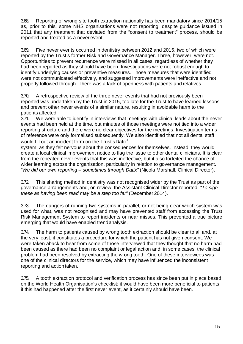3.68. Reporting of wrong site tooth extraction nationally has been mandatory since 2014/15 as, prior to this, some NHS organisations were not reporting, despite guidance issued in 2011 that any treatment that deviated from the "consent to treatment" process, should be reported and treated as a never event.

3.69. Five never events occurred in dentistry between 2012 and 2015, two of which were reported by the Trust's former Risk and Governance Manager. Three, however, were not. Opportunities to prevent recurrence were missed in all cases, regardless of whether they had been reported as they should have been. Investigations were not robust enough to identify underlying causes or preventive measures. Those measures that were identified were not communicated effectively, and suggested improvements were ineffective and not properly followed through. There was a lack of openness with patients and relatives.

3.70. A retrospective review of the three never events that had not previously been reported was undertaken by the Trust in 2015, too late for the Trust to have learned lessons and prevent other never events of a similar nature, resulting in avoidable harm to the patients affected.

3.71. We were able to identify in interviews that meetings with clinical leads about the never events had been held at the time, but minutes of those meetings were not tied into a wider reporting structure and there were no clear objectives for the meetings. Investigation terms of reference were only formalised subsequently. We also identified that not all dental staff would fill out an incident form on the Trust's Datix<sup>1</sup>

system, as they felt nervous about the consequences for themselves. Instead, they would create a local clinical improvement notice to flag the issue to other dental clinicians. It is clear from the repeated never events that this was ineffective, but it also forfeited the chance of wider learning across the organisation, particularly in relation to governance management. *"We did our own reporting – sometimes through Datix"* (Nicola Marshall, Clinical Director).

3.72. This sharing method in dentistry was not recognised wider by the Trust as part of the governance arrangements and, on review, the Assistant Clinical Director reported, *"To sign these as having been read may be a step too far"* (December 2014).

3.73. The dangers of running two systems in parallel, or not being clear which system was used for what, was not recognised and may have prevented staff from accessing the Trust Risk Management System to report incidents or near misses. This prevented a true picture emerging that would have enabled trendanalysis.

3.74. The harm to patients caused by wrong tooth extraction should be clear to all and, at the very least, it constitutes a procedure for which the patient has not given consent. We were taken aback to hear from some of those interviewed that they thought that no harm had been caused as there had been no complaint or legal action and, in some cases, the clinical problem had been resolved by extracting the wrong tooth. One of these interviewees was one of the clinical directors for the service, which may have influenced the inconsistent reporting and action taken.

3.75. A tooth extraction protocol and verification process has since been put in place based on the World Health Organisation's checklist; it would have been more beneficial to patients if this had happened after the first never event, as it certainly should have been.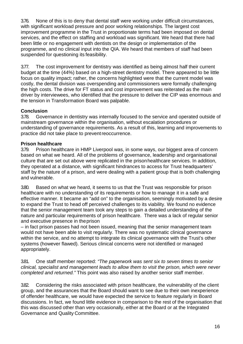3.76. None of this is to deny that dental staff were working under difficult circumstances, with significant workload pressure and poor working relationships. The largest cost improvement programme in the Trust in proportionate terms had been imposed on dental services, and the effect on staffing and workload was significant. We heard that there had been little or no engagement with dentists on the design or implementation of the programme, and no clinical input into the QIA. We heard that members of staff had been suspended for questioning its feasibility.

3.77. The cost improvement for dentistry was identified as being almost half their current budget at the time (44%) based on a high-street dentistry model. There appeared to be little focus on quality impact; rather, the concerns highlighted were that the current model was costly, the dental division was overspending and commissioners were formally challenging the high costs. The drive for FT status and cost improvement was reiterated as the main driver by interviewees, who identified that the pressure to deliver the CIP was enormous and the tension in Transformation Board was palpable.

## **Conclusion**<br>378. Gover

Governance in dentistry was internally focused to the service and operated outside of mainstream governance within the organisation, without escalation procedures or understanding of governance requirements. As a result of this, learning and improvements to practice did not take place to preventreoccurrence.

## **Prison healthcare**<br>3.79. Prison healtl

Prison healthcare in HMP Liverpool was, in some ways, our biggest area of concern based on what we heard. All of the problems of governance, leadership and organisational culture that are set out above were replicated in the prisonhealthcare services. In addition, they operated at a distance, with significant hindrances to access for Trust headquarters' staff by the nature of a prison, and were dealing with a patient group that is both challenging and vulnerable.

3.80. Based on what we heard, it seems to us that the Trust was responsible for prison healthcare with no understanding of its requirements or how to manage it in a safe and effective manner. It became an "add on" to the organisation, seemingly motivated by a desire to expand the Trust to head off perceived challenges to its viability. We found no evidence that the senior management team took any steps to gain a detailed understanding of the nature and particular requirements of prison healthcare. There was a lack of regular senior and executive presence in theprison

– in fact prison passes had not been issued, meaning that the senior management team would not have been able to visit regularly. There was no systematic clinical governance within the service, and no attempt to integrate its clinical governance with the Trust's other systems (however flawed). Serious clinical concerns were not identified or managed appropriately.

3.81. One staff member reported: *"The paperwork was sent six to seven times to senior clinical, specialist and management leads to allow them to visit the prison, which were never completed and returned."* This point was also raised by another senior staff member.

3.82. Considering the risks associated with prison healthcare, the vulnerability of the client group, and the assurances that the Board should want to see due to their own inexperience of offender healthcare, we would have expected the service to feature regularly in Board discussions. In fact, we found little evidence in comparison to the rest of the organisation that this was discussed other than very occasionally, either at the Board or at the Integrated Governance and Quality Committee.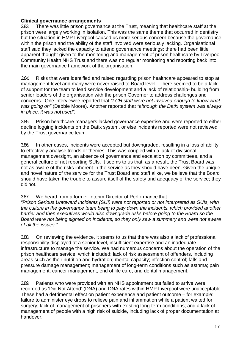#### **Clinical governance arrangements**

3.83. There was little prison governance at the Trust, meaning that healthcare staff at the prison were largely working in isolation. This was the same theme that occurred in dentistry but the situation in HMP Liverpool caused us more serious concern because the governance within the prison and the ability of the staff involved were seriously lacking. Organisational staff said they lacked the capacity to attend governance meetings; there had been little apparent thought given to the monitoring and management of prison healthcare by Liverpool Community Health NHS Trust and there was no regular monitoring and reporting back into the main governance framework of the organisation.

*3.84.* Risks that were identified and raised regarding prison healthcare appeared to stop at management level and many were never raised to Board level. There seemed to be a lack of support for the team to lead service development and a lack of relationship- building from senior leaders of the organisation with the prison Governor to address challenges and concerns. One interviewee reported that *"LCH staff were not involved enough to know what was going on"* (Debbie Moore). Another reported that *"although the Datix system was always in place, it was not used".*

3.85. Prison healthcare managers lacked governance expertise and were reported to either decline logging incidents on the Datix system, or else incidents reported were not reviewed by the Trust governance team.

3.86. In other cases, incidents were accepted but downgraded, resulting in a loss of ability to effectively analyse trends or themes. This was coupled with a lack of divisional management oversight, an absence of governance and escalation by committees, and a general culture of not reporting SUIs. It seems to us that, as a result, the Trust Board was not as aware of the risks inherent in the service as they should have been. Given the unique and novel nature of the service for the Trust Board and staff alike, we believe that the Board should have taken the trouble to assure itself of the safety and adequacy of the service; they did not.

#### 3.87. We heard from a former Interim Director of Performance that

*"Prison Serious Untoward Incidents (SUI) were not reported or not interpreted as SUIs, with the culture in the governance team being to play down the incidents, which provided another barrier and then executives would also downgrade risks before going to the Board so the Board were not being sighted on incidents, so they only saw a summary and were not aware of all the issues."*

3.88. On reviewing the evidence, it seems to us that there was also a lack of professional responsibility displayed at a senior level, insufficient expertise and an inadequate infrastructure to manage the service. We had numerous concerns about the operation of the prison healthcare service, which included: lack of risk assessment of offenders, including areas such as their nutrition and hydration; mental capacity; infection control; falls and pressure damage management; management of long-term conditions such as asthma; pain management; cancer management; end of life care; and dental management.

3.89. Patients who were provided with an NHS appointment but failed to arrive were recorded as 'Did Not Attend' (DNA) and DNA rates within HMP Liverpool were unacceptable. These had a detrimental effect on patient experience and patient outcome – for example: failure to administer eye drops to relieve pain and inflammation while a patient waited for surgery; lack of management of prisoners with existing long-term conditions; and a lack of management of people with a high risk of suicide, including lack of proper documentation at handover.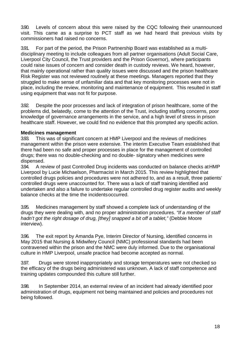3.90. Levels of concern about this were raised by the CQC following their unannounced visit. This came as a surprise to PCT staff as we had heard that previous visits by commissioners had raised no concerns.

3.91. For part of the period, the Prison Partnership Board was established as a multidisciplinary meeting to include colleagues from all partner organisations (Adult Social Care, Liverpool City Council, the Trust providers and the Prison Governor), where participants could raise issues of concern and consider death in custody reviews. We heard, however, that mainly operational rather than quality issues were discussed and the prison healthcare Risk Register was not reviewed routinely at these meetings. Managers reported that they struggled to make sense of unfamiliar data and that key monitoring processes were not in place, including the review, monitoring and maintenance of equipment. This resulted in staff using equipment that was not fit for purpose.

3.92. Despite the poor processes and lack of integration of prison healthcare, some of the problems did, belatedly, come to the attention of the Trust, including staffing concerns, poor knowledge of governance arrangements in the service, and a high level of stress in prison healthcare staff. However, we could find no evidence that this prompted any specific action.

#### **Medicines management**

3.93. This was of significant concern at HMP Liverpool and the reviews of medicines management within the prison were extensive. The interim Executive Team established that there had been no safe and proper processes in place for the management of controlled drugs; there was no double-checking and no double- signatory when medicines were dispensed.

3.94. A review of past Controlled Drug incidents was conducted on balance checks atHMP Liverpool by Lucie Michaelson, Pharmacist in March 2015. This review highlighted that controlled drugs policies and procedures were not adhered to, and as a result, three patients' controlled drugs were unaccounted for. There was a lack of staff training identified and undertaken and also a failure to undertake regular controlled drug register audits and weekly balance checks at the time the incidentsoccurred.

3.95. Medicines management by staff showed a complete lack of understanding of the drugs they were dealing with, and no proper administration procedures. *"If a member of staff hadn't got the right dosage of drug, [they] snapped a bit off a tablet,"* (Debbie Moore interview).

3.96. The exit report by Amanda Pye, Interim Director of Nursing, identified concerns in May 2015 that Nursing & Midwifery Council (NMC) professional standards had been contravened within the prison and the NMC were duly informed. Due to the organisational culture in HMP Liverpool, unsafe practice had become accepted as normal.

3.97. Drugs were stored inappropriately and storage temperatures were not checked so the efficacy of the drugs being administered was unknown. A lack of staff competence and training updates compounded this culture still further.

3.98. In September 2014, an external review of an incident had already identified poor administration of drugs, equipment not being maintained and policies and procedures not being followed.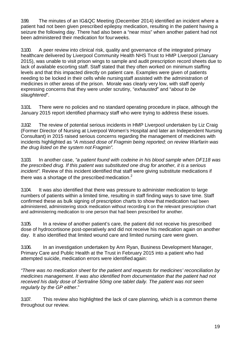3.99. The minutes of an IG&QC Meeting (December 2014) identified an incident where a patient had not been given prescribed epilepsy medication, resulting in the patient having a seizure the following day. There had also been a "near miss" when another patient had not been administered their medication for fourweeks.

3.100. A peer review into clinical risk, quality and governance of the integrated primary healthcare delivered by Liverpool Community Health NHS Trust to HMP Liverpool (January 2015), was unable to visit prison wings to sample and audit prescription record sheets due to lack of available escorting staff. Staff stated that they often worked on minimum staffing levels and that this impacted directly on patient care. Examples were given of patients needing to be locked in their cells while nursingstaff assisted with the administration of medicines in other areas of the prison. Morale was clearly very low, with staff openly expressing concerns that they were under scrutiny, "*exhausted*" and "*about to be slaughtered*".

3.101. There were no policies and no standard operating procedure in place, although the January 2015 report identified pharmacy staff who were trying to address these issues.

*3.102.* The review of potential serious incidents in HMP Liverpool undertaken by Liz Craig (Former Director of Nursing at Liverpool Women's Hospital and later an Independent Nursing Consultant) in 2015 raised serious concerns regarding the management of medicines with incidents highlighted as *"A missed dose of Fragmin being reported; on review Warfarin was the drug listed on the system not Fragmin".*

3.103. In another case, *"a patient found with codeine in his blood sample when DF118 was the prescribed drug. If this patient was substituted one drug for another, it is a serious incident".* Review of this incident identified that staff were giving substitute medications if there was a shortage of the prescribed medication.<sup>2</sup>

3.104. It was also identified that there was pressure to administer medication to large numbers of patients within a limited time, resulting in staff finding ways to save time. Staff confirmed these as bulk signing of prescription charts to show that medication had been administered, administering stock medication without recording it on the relevant prescription chart and administering medication to one person that had been prescribed for another.

3.105. In a review of another patient's care, the patient did not receive his prescribed dose of hydrocortisone post-operatively and did not receive his medication again on another day. It also identified that limited wound care and limited nursing care were given.

3.106. In an investigation undertaken by Ann Ryan, Business Development Manager, Primary Care and Public Health at the Trust in February 2015 into a patient who had attempted suicide, medication errors were identified again:

*"There was no medication sheet for the patient and requests for medicines' reconciliation by medicines management. It was also identified from documentation that the patient had not received his daily dose of Sertraline 50mg one tablet daily. The patient was not seen regularly by the GP either*."

3.107. This review also highlighted the lack of care planning, which is a common theme throughout our review.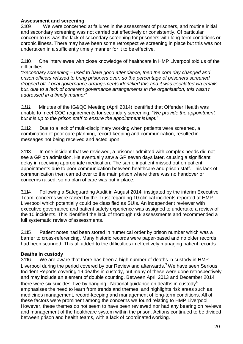#### **Assessment and screening**

3.109. We were concerned at failures in the assessment of prisoners, and routine initial and secondary screening was not carried out effectively or consistently. Of particular concern to us was the lack of secondary screening for prisoners with long-term conditions or chronic illness. There may have been some retrospective screening in place but this was not undertaken in a sufficiently timely manner for it to be effective.

3.110. One interviewee with close knowledge of healthcare in HMP Liverpool told us of the difficulties:

*"Secondary screening – used to have good attendance, then the core day changed and prison officers refused to bring prisoners over, so the percentage of prisoners screened dropped off. Local governance arrangements identified this and it was escalated via emails but, due to a lack of coherent governance arrangements in the organisation, this wasn't addressed in a timely manner".*

*3.111.* Minutes of the IG&QC Meeting (April 2014) identified that Offender Health was unable to meet CQC requirements for secondary screening. *"We provide the appointment but it is up to the prison staff to ensure the appointment iskept."*

3.112. Due to a lack of multi-disciplinary working when patients were screened, a combination of poor care planning, record keeping and communication, resulted in messages not being received and acted upon.

3.113. In one incident that we reviewed, a prisoner admitted with complex needs did not see a GP on admission. He eventually saw a GP seven days later, causing a significant delay in receiving appropriate medication. The same inpatient missed out on patient appointments due to poor communication between healthcare and prison staff. This lack of communication then carried over to the main prison where there was no handover or concerns raised, so no plan of care was put in place.

3.114. Following a Safeguarding Audit in August 2014, instigated by the interim Executive Team, concerns were raised by the Trust regarding 10 clinical incidents reported at HMP Liverpool which potentially could be classified as SUIs. An independent reviewer with executive governance and patient safety experience was assigned to undertake a review of the 10 incidents. This identified the lack of thorough risk assessments and recommended a full systematic review of assessments.

3.115. Patient notes had been stored in numerical order by prison number which was a barrier to cross-referencing. Many historic records were paper-based and no older records had been scanned. This all added to the difficulties in effectively managing patient records.

#### **Deaths in custody**

3.116. We are aware that there has been a high number of deaths in custody in HMP Liverpool during the period covered by our Review and afterwards.<sup>3</sup> We have seen Serious Incident Reports covering 19 deaths in custody, but many of these were done retrospectively and may include an element of double counting. Between April 2013 and December 2014 there were six suicides, five by hanging. National guidance on deaths in custody<sup>4</sup> emphasises the need to learn from trends and themes, and highlights risk areas such as medicines management, record-keeping and management of long-term conditions. All of these factors were prominent among the concerns we found relating to HMP Liverpool. However, these themes do not seem to have been reviewed nor had any bearing on reviews and management of the healthcare system within the prison. Actions continued to be divided between prison and health teams, with a lack of coordinated working.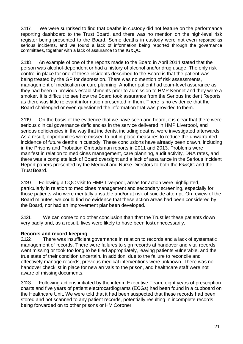3.117. We were surprised to find that deaths in custody did not feature on the performance reporting dashboard to the Trust Board, and there was no mention on the high-level risk register being presented to the Board. Some deaths in custody were not even reported as serious incidents, and we found a lack of information being reported through the governance committees, together with a lack of assurance to the IG&QC.

3.118. An example of one of the reports made to the Board in April 2014 stated that the person was alcohol-dependent or had a history of alcohol and/or drug usage. The only risk control in place for one of these incidents described to the Board is that the patient was being treated by the GP for depression. There was no mention of risk assessments, management of medication or care planning. Another patient had team-level assurance as they had been in previous establishments prior to admission to HMP Kennet and they were a smoker. It is difficult to see how the Board took assurance from the Serious Incident Reports as there was little relevant information presented in them. There is no evidence that the Board challenged or even questioned the information that was provided to them.

3.119. On the basis of the evidence that we have seen and heard, it is clear that there were serious clinical governance deficiencies in the service delivered in HMP Liverpool, and serious deficiencies in the way that incidents, including deaths, were investigated afterwards. As a result, opportunities were missed to put in place measures to reduce the unwarranted incidence of future deaths in custody. These conclusions have already been drawn, including in the Prisons and Probation Ombudsman reports in 2011 and 2013. Problems were manifest in relation to medicines management, care planning, audit activity, DNA rates, and there was a complete lack of Board oversight and a lack of assurance in the Serious Incident Report papers presented by the Medical and Nurse Directors to both the IG&QC and the Trust Board.

3.120. Following a CQC visit to HMP Liverpool, areas for action were highlighted, particularly in relation to medicines management and secondary screening, especially for those patients who were mentally unstable and/or at risk of suicide attempt. On review of the Board minutes, we could find no evidence that these action areas had been considered by the Board, nor had an improvement planbeen developed.

3.121. We can come to no other conclusion than that the Trust let these patients down very badly and, as a result, lives were likely to have been lostunnecessarily.

#### **Records and record-keeping**

3.122. There was insufficient governance in relation to records and a lack of systematic management of records. There were failures to sign records at handover and vital records went missing or took too long to be filed appropriately, leaving patients vulnerable, and the true state of their condition uncertain. In addition, due to the failure to reconcile and effectively manage records, previous medical interventions were unknown. There was no handover checklist in place for new arrivals to the prison, and healthcare staff were not aware of missingdocuments.

3.123. Following actions initiated by the interim Executive Team, eight years of prescription charts and five years of patient electrocardiograms (ECGs) had been found in a cupboard on the Healthcare Unit. We were told that it had been suspected that these records had been stored and not scanned to any patient records, potentially resulting in incomplete records being forwarded on to other prisons or HM Coroner.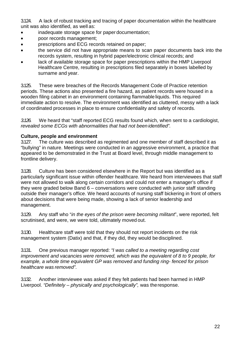3.124. A lack of robust tracking and tracing of paper documentation within the healthcare unit was also identified, as well as:

- inadequate storage space for paper documentation;
- poor records management;
- prescriptions and ECG records retained on paper;
- the service did not have appropriate means to scan paper documents back into the records system, resulting in hybrid paper/electronic clinical records; and
- lack of available storage space for paper prescriptions within the HMP Liverpool Healthcare Centre, resulting in prescriptions filed separately in boxes labelled by surname and year.

3.125. These were breaches of the Records Management Code of Practice retention periods. These actions also presented a fire hazard, as patient records were housed in a wooden filing cabinet in an environment containing flammable liquids. This required immediate action to resolve. The environment was identified as cluttered, messy with a lack of coordinated processes in place to ensure confidentiality and safety of records.

*3.126.* We heard that "staff reported ECG results found which, when sent to a cardiologist, *revealed some ECGs with abnormalities that had not been identified".*

#### **Culture, people and environment**

3.127. The culture was described as regimented and one member of staff described it as "bullying" in nature. Meetings were conducted in an aggressive environment, a practice that appeared to be demonstrated in the Trust at Board level, through middle management to frontline delivery.

3.128. Culture has been considered elsewhere in the Report but was identified as a particularly significant issue within offender healthcare. We heard from interviewees that staff were not allowed to walk along certain corridors and could not enter a manager's office if they were graded below Band 6 – conversations were conducted with junior staff standing outside their manager's office. We heard accounts of nursing staff bickering in front of others about decisions that were being made, showing a lack of senior leadership and management.

3.129. Any staff who "*in the eyes of the prison were becoming militant*", were reported, felt scrutinised, and were, we were told, ultimately moved out.

3.130. Healthcare staff were told that they should not report incidents on the risk management system (Datix) and that, if they did, they would be disciplined.

3.131. One previous manager reported: *"I was called to a meeting regarding cost improvement and vacancies were removed, which was the equivalent of 8 to 9 people, for example, a whole time equivalent GP was removed and funding ring- fenced for prison healthcare was removed"*.

3.132. Another interviewee was asked if they felt patients had been harmed in HMP Liverpool. *"Definitely – physically and psychologically",* was theresponse.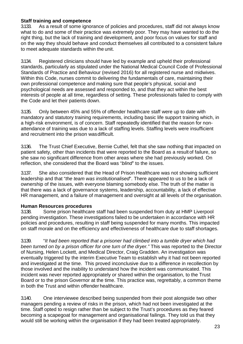#### **Staff training and competence**

3.133. As a result of some ignorance of policies and procedures, staff did not always know what to do and some of their practice was extremely poor. They may have wanted to do the right thing, but the lack of training and development, and poor focus on values for staff and on the way they should behave and conduct themselves all contributed to a consistent failure to meet adequate standards within the unit.

3.134. Registered clinicians should have led by example and upheld their professional standards, particularly as stipulated under the National Medical Council Code of Professional Standards of Practice and Behaviour (revised 2016) for all registered nurse and midwives. Within this Code, nurses commit to delivering the fundamentals of care, maintaining their own professional competence and making sure that people's physical, social and psychological needs are assessed and responded to, and that they act within the best interests of people at all time, regardless of setting. These professionals failed to comply with the Code and let their patients down.

3.135. Only between 45% and 55% of offender healthcare staff were up to date with mandatory and statutory training requirements, including basic life support training which, in a high-risk environment, is of concern. Staff repeatedly identified that the reason for nonattendance of training was due to a lack of staffing levels. Staffing levels were insufficient and recruitment into the prison wasdifficult.

3.136. The Trust Chief Executive, Bernie Cuthel, felt that she saw nothing that impacted on patient safety, other than incidents that were reported to the Board as a result of failure, so she saw no significant difference from other areas where she had previously worked. On reflection, she considered that the Board was "*blind*" to the issues.

3.137. She also considered that the Head of Prison Healthcare was not showing sufficient leadership and that "*the team was institutionalised*". There appeared to us to be a lack of ownership of the issues, with everyone blaming somebody else. The truth of the matter is that there was a lack of governance systems, leadership, accountability, a lack of effective HR management, and a failure of management and oversight at all levels of the organisation.

**Human Resources procedures** Some prison healthcare staff had been suspended from duty at HMP Liverpool pending investigation. These investigations failed to be undertaken in accordance with HR policies and procedures, resulting in staff being suspended for many months. This impacted on staff morale and on the efficiency and effectiveness of healthcare due to staff shortages.

3.139. "*It had been reported that a prisoner had climbed into a tumble dryer which had been turned on by a prison officer for one turn of the dryer."* This was reported to the Director of Nursing, Helen Lockett, and Medical Director, Craig Gradden. An investigation was eventually triggered by the interim Executive Team to establish why it had not been reported and investigated at the time. This proved inconclusive due to a difference in recollection by those involved and the inability to understand how the incident was communicated. This incident was never reported appropriately or shared within the organisation, to the Trust Board or to the prison Governor at the time. This practice was, regrettably, a common theme in both the Trust and within offender healthcare.

3.140. One interviewee described being suspended from their post alongside two other managers pending a review of risks in the prison, which had not been investigated at the time. Staff opted to resign rather than be subject to the Trust's procedures as they feared becoming a scapegoat for management and organisational failings. They told us that they would still be working within the organisation if they had been treated appropriately.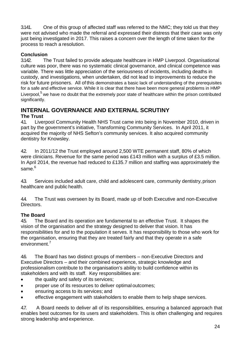3.141. One of this group of affected staff was referred to the NMC; they told us that they were not advised who made the referral and expressed their distress that their case was only just being investigated in 2017. This raises a concern over the length of time taken for the process to reach a resolution.

## **Conclusion**<br>3.142. Th

The Trust failed to provide adequate healthcare in HMP Liverpool. Organisational culture was poor, there was no systematic clinical governance, and clinical competence was variable. There was little appreciation of the seriousness of incidents, including deaths in custody, and investigations, when undertaken, did not lead to improvements to reduce the risk for future prisoners. All of this demonstrates a basic lack of understanding of the prerequisites for a safe and effective service. While it is clear that there have been more general problems in HMP Liverpool,<sup>5</sup> we have no doubt that the extremely poor state of healthcare within the prison contributed significantly.

### **INTERNAL GOVERNANCE AND EXTERNAL SCRUTINY**

## **The Trust**<br>41. Liver

Liverpool Community Health NHS Trust came into being in November 2010, driven in part by the government's initiative, Transforming Community Services. In April 2011, it acquired the majority of NHS Sefton's community services. It also acquired community dentistry for Knowsley.

42 In 2011/12 the Trust employed around 2,500 WTE permanent staff, 80% of which were clinicians. Revenue for the same period was £143 million with a surplus of £3.5 million. In April 2014, the revenue had reduced to £135.7 million and staffing was approximately the same.<sup>6</sup>

4.3. Services included adult care, child and adolescent care, community dentistry, prison healthcare and public health.

4.4. The Trust was overseen by its Board, made up of both Executive and non-Executive Directors.

#### **The Board**

4.5. The Board and its operation are fundamental to an effective Trust. It shapes the vision of the organisation and the strategy designed to deliver that vision. It has responsibilities for and to the population it serves. It has responsibility to those who work for the organisation, ensuring that they are treated fairly and that they operate in a safe environment.<sup>7</sup>

4.6. The Board has two distinct groups of members – non-Executive Directors and Executive Directors – and their combined experience, strategic knowledge and professionalism contribute to the organisation's ability to build confidence within its stakeholders and with its staff. Key responsibilities are:

- the quality and safety of its services;
- proper use of its resources to deliver optimal outcomes;
- ensuring access to its services; and
- effective engagement with stakeholders to enable them to help shape services.

4.7. A Board needs to deliver all of its responsibilities, ensuring a balanced approach that enables best outcomes for its users and stakeholders. This is often challenging and requires strong leadership and experience.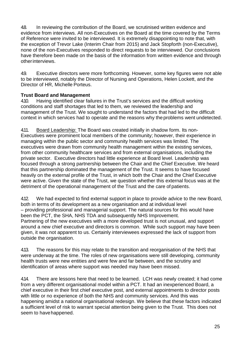4.8. In reviewing the contribution of the Board, we scrutinised written evidence and evidence from interviews. All non-Executives on the Board at the time covered by the Terms of Reference were invited to be interviewed. It is extremely disappointing to note that, with the exception of Trevor Lake (Interim Chair from 2015) and Jack Stopforth (non-Executive), none of the non-Executives responded to direct requests to be interviewed. Our conclusions have therefore been made on the basis of the information from written evidence and through otherinterviews.

4.9. Executive directors were more forthcoming. However, some key figures were not able to be interviewed, notably the Director of Nursing and Operations, Helen Lockett, and the Director of HR, Michelle Porteus.

#### **Trust Board and Management**

4.10. Having identified clear failures in the Trust's services and the difficult working conditions and staff shortages that led to them, we reviewed the leadership and management of the Trust. We sought to understand the factors that had led to the difficult context in which services had to operate and the reasons why theproblems went undetected.

4.11. Board Leadership: The Board was created initially in shadow form. Its non-Executives were prominent local members of the community; however, their experience in managing within the public sector and community health services was limited. The executives were drawn from community health management within the existing services, from other community healthcare services and from external organisations, including the private sector. Executive directors had little experience at Board level. Leadership was focused through a strong partnership between the Chair and the Chief Executive. We heard that this partnership dominated the management of the Trust. It seems to have focused heavily on the external profile of the Trust, in which both the Chair and the Chief Executive were active. Given the state of the Trust, we question whether this external focus was at the detriment of the operational management of the Trust and the care of patients.

4.12. We had expected to find external support in place to provide advice to the new Board, both in terms of its development as a new organisation and at individual level – providing professional and managerial support. The natural sources for this would have been the PCT, the SHA, NHS TDA and subsequently NHS Improvement. Partnering of the new executives with a more developed trust is not unusual, and support around a new chief executive and directors is common. While such support may have been given, it was not apparent to us. Certainly interviewees expressed the lack of support from outside the organisation.

4.13. The reasons for this may relate to the transition and reorganisation of the NHS that were underway at the time. The roles of new organisations were still developing, community health trusts were new entities and were few and far between, and the scrutiny and identification of areas where support was needed may have been missed.

4.14. There are lessons here that need to be learned. LCH was newly created; it had come from a very different organisational model within a PCT. It had an inexperienced Board, a chief executive in their first chief executive post, and external appointments to director posts with little or no experience of both the NHS and community services. And this was happening amidst a national organisational redesign. We believe that these factors indicated a sufficient level of risk to warrant special attention being given to the Trust. This does not seem to havehappened.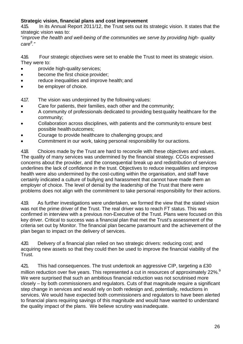#### **Strategic vision, financial plans and cost improvement**

4.15. In its Annual Report 2011/12, the Trust sets out its strategic vision. It states that the strategic vision was to:

"*improve the health and well-being of the communities we serve by providing high- quality care<sup>8</sup> ."*

4.16. Four strategic objectives were set to enable the Trust to meet its strategic vision. They were to:

- provide high-quality services;
- become the first choice provider:
- reduce inequalities and improve health; and
- be employer of choice.

4.17. The vision was underpinned by the following values:

- Care for patients, their families, each other and the community;
- A community of professionals dedicated to providing bestquality healthcare for the community;
- Collaboration across disciplines, with patients and the communityto ensure best possible health outcomes;
- Courage to provide healthcare to challenging groups; and
- Commitment in our work, taking personal responsibility for ouractions.

4.18. Choices made by the Trust are hard to reconcile with these objectives and values. The quality of many services was undermined by the financial strategy. CCGs expressed concerns about the provider, and the consequential break up and redistribution of services underlines the lack of confidence in the trust. Objectives to reduce inequalities and improve health were also undermined by the cost-cutting within the organisation, and staff have certainly indicated a culture of bullying and harassment that cannot have made them an employer of choice. The level of denial by the leadership of the Trust that there were problems does not align with the commitment to take personal responsibility for their actions.

4.19. As further investigations were undertaken, we formed the view that the stated vision was not the prime driver of the Trust. The real driver was to reach FT status. This was confirmed in interview with a previous non-Executive of the Trust. Plans were focused on this key driver. Critical to success was a financial plan that met the Trust's assessment of the criteria set out by Monitor. The financial plan became paramount and the achievement of the plan began to impact on the delivery of services.

420. Delivery of a financial plan relied on two strategic drivers: reducing cost; and acquiring new assets so that they could then be used to improve the financial viability of the Trust.

421. This had consequences. The trust undertook an aggressive CIP, targeting a £30 million reduction over five years. This represented a cut in resources of approximately 22%.<sup>9</sup> We were surprised that such an ambitious financial reduction was not scrutinised more closely – by both commissioners and regulators. Cuts of that magnitude require a significant step change in services and would rely on both redesign and, potentially, reductions in services. We would have expected both commissioners and regulators to have been alerted to financial plans requiring savings of this magnitude and would have wanted to understand the quality impact of the plans. We believe scrutiny was inadequate.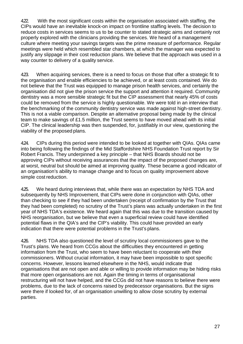4.22. With the most significant costs within the organisation associated with staffing, the CIPs would have an inevitable knock-on impact on frontline staffing levels. The decision to reduce costs in services seems to us to be counter to stated strategic aims and certainly not properly explored with the clinicians providing the services. We heard of a management culture where meeting your savings targets was the prime measure of performance. Regular meetings were held which resembled star chambers, at which the manager was expected to justify any slippage in their cost reduction plans. We believe that the approach was used in a way counter to delivery of a quality service.

4.23. When acquiring services, there is a need to focus on those that offer a strategic fit to the organisation and enable efficiencies to be achieved, or at least costs contained. We do not believe that the Trust was equipped to manage prison health services, and certainly the organisation did not give the prison service the support and attention it required. Community dentistry was a more sensible strategic fit but the CIP assessment that nearly 45% of costs could be removed from the service is highly questionable. We were told in an interview that the benchmarking of the community dentistry service was made against high-street dentistry. This is not a viable comparison. Despite an alternative proposal being made by the clinical team to make savings of £1.5 million, the Trust seems to have moved ahead with its initial CIP. The clinical leadership was then suspended, for, justifiably in our view, questioning the viability of the proposed plans.

424. CIPs during this period were intended to be looked at together with QIAs. QIAs came into being following the findings of the Mid Staffordshire NHS Foundation Trust report by Sir Robert Francis. They underpinned a key principle – that NHS Boards should not be approving CIPs without receiving assurances that the impact of the proposed changes are, at worst, neutral but should be aimed at improving quality. These became a good indicator of an organisation's ability to manage change and to focus on quality improvement above simple cost reduction.

425. We heard during interviews that, while there was an expectation by NHS TDA and subsequently by NHS Improvement, that CIPs were done in conjunction with QIAs, other than checking to see if they had been undertaken (receipt of confirmation by the Trust that they had been completed) no scrutiny of the Trust's plans was actually undertaken in the first year of NHS TDA's existence. We heard again that this was due to the transition caused by NHS reorganisation, but we believe that even a superficial review could have identified potential flaws in the QIA's and the CIP's viability. This could have provided an early indication that there were potential problems in the Trust's plans.

4.26. NHS TDA also questioned the level of scrutiny local commissioners gave to the Trust's plans. We heard from CCGs about the difficulties they encountered in getting information from the Trust, who seem to have been reluctant to cooperate with their commissioners. Without crucial information, it may have been impossible to spot specific concerns. However, lessons learned elsewhere in the NHS, would indicate that organisations that are not open and able or willing to provide information may be hiding risks that more open organisations are not. Again the timing in terms of organisational restructuring will not have helped, and the CCGs did not have reasons to believe there were problems, due to the lack of concerns raised by predecessor organisations. But the signs were there if looked for, of an organisation unwilling to allow close scrutiny by external parties.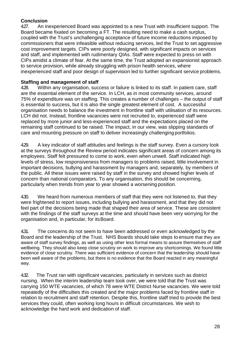#### **Conclusion**

427. An inexperienced Board was appointed to a new Trust with insufficient support. The Board became fixated on becoming a FT. The resulting need to make a cash surplus, coupled with the Trust's unchallenging acceptance of future income reductions imposed by commissioners that were infeasible without reducing services, led the Trust to set aggressive cost improvement targets. CIPs were poorly designed, with significant impacts on services and staff, and implemented with rudimentary QIAs. Staff were expected to press on with CIPs amidst a climate of fear. At the same time, the Trust adopted an expansionist approach to service provision, while already struggling with prison health services, where inexperienced staff and poor design of supervision led to further significant service problems.

#### **Staffing and management of staff**

428. Within any organisation, success or failure is linked to its staff. In patient care, staff are the essential element of the service. In LCH, as in most community services, around 75% of expenditure was on staffing. This creates a number of challenges – the output of staff is essential to success, but it is also the single greatest element of cost. A successful organisation needs to balance the investment in frontline staff with utilisation of its resources. LCH did not. Instead, frontline vacancies were not recruited to, experienced staff were replaced by more junior and less-experienced staff and the expectations placed on the remaining staff continued to be raised. The impact, in our view, was slipping standards of care and mounting pressure on staff to deliver increasingly challenging portfolios.

429. A key indicator of staff attitudes and feelings is the staff survey. Even a cursory look at the surveys throughout the Review period indicates significant areas of concern among its employees. Staff felt pressured to come to work, even when unwell. Staff indicated high levels of stress, low responsiveness from managers to problems raised, little involvement in important decisions, bullying and harassment by managers and, separately, by members of the public. All these issues were raised by staff in the survey and showed higher levels of concern than national comparators. To any organisation, this should be concerning, particularly when trends from year to year showed a worsening position.

4.30. We heard from numerous members of staff that they were not listened to, that they were frightened to report issues, including bullying and harassment, and that they did not feel part of the decisions being made that shaped their area of service. These are consistent with the findings of the staff surveys at the time and should have been very worrying for the organisation and, in particular, for itsBoard.

4.31. The concerns do not seem to have been addressed or even acknowledged by the Board and the leadership of the Trust. NHS Boards should take steps to ensure that they are aware of staff survey findings, as well as using other less formal means to assure themselves of staff wellbeing. They should also keep close scrutiny on work to improve any shortcomings. We found little evidence of close scrutiny. There was sufficient evidence of concern that the leadership should have been well aware of the problems, but there is no evidence that the Board reacted in any meaningful way.

4.32. The Trust ran with significant vacancies, particularly in services such as district nursing. When the interim leadership team took over, we were told that the Trust was carrying 150 WTE vacancies, of which 78 were WTE District Nurse vacancies. We were told repeatedly of the difficulties this created and the major problems faced by frontline staff in relation to recruitment and staff retention. Despite this, frontline staff tried to provide the best services they could, often working long hours in difficult circumstances. We wish to acknowledge the hard work and dedication of staff.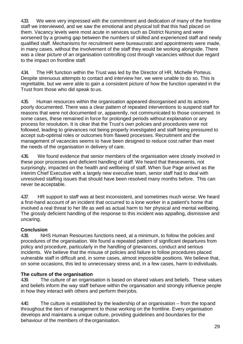4.33. We were very impressed with the commitment and dedication of many of the frontline staff we interviewed, and we saw the emotional and physical toll that this had placed on them. Vacancy levels were most acute in services such as District Nursing and were worsened by a growing gap between the numbers of skilled and experienced staff and newly qualified staff. Mechanisms for recruitment were bureaucratic and appointments were made, in many cases, without the involvement of the staff they would be working alongside. There was a clear picture of an organisation controlling cost through vacancies without due regard to the impact on frontline staff.

4.34. The HR function within the Trust was led by the Director of HR, Michelle Porteus. Despite strenuous attempts to contact and interview her, we were unable to do so. This is regrettable, but we were able to gain a consistent picture of how the function operated in the Trust from those who did speak to us.

4.35. Human resources within the organisation appeared disorganised and its actions poorly documented. There was a clear pattern of repeated interventions to suspend staff for reasons that were not documented or, apparently, not communicated to those concerned. In some cases, these remained in force for prolonged periods without explanation or any process for resolution. It is clear that the Trust's own policies and procedures were not followed, leading to grievances not being properly investigated and staff being pressured to accept sub-optimal roles or outcomes from flawed processes. Recruitment and the management of vacancies seems to have been designed to reduce cost rather than meet the needs of the organisation in delivery of care.

4.36. We found evidence that senior members of the organisation were closely involved in these poor processes and deficient handling of staff. We heard that theseevents, not surprisingly, impacted on the health and wellbeing of staff. When Sue Page arrived as the Interim Chief Executive with a largely new executive team, senior staff had to deal with unresolved staffing issues that should have been resolved many months before. This can never be acceptable.

4.37. HR support to staff was at best inconsistent, and sometimes much worse. We heard a first-hand account of an incident that occurred to a lone worker in a patient's home that involved a real threat to her life as well as actual harm to her physical and mental wellbeing. The grossly deficient handling of the response to this incident was appalling, dismissive and uncaring.

#### **Conclusion**

4.38. NHS Human Resources functions need, at a minimum, to follow the policies and procedures of the organisation. We found a repeated pattern of significant departures from policy and procedure, particularly in the handling of grievances, conduct and serious incidents. We believe that the misuse of policies and failure to follow procedures placed vulnerable staff in difficult and, in some cases, almost impossible positions. We believe that, on some occasions, this led to unnecessary stress and, in a few cases, harm to individuals.

#### **The culture of the organisation**

4.39. The culture of an organisation is based on shared values and beliefs. These values and beliefs inform the way staff behave within the organisation and strongly influence people in how they interact with others and perform theirjobs.

4.40. The culture is established by the leadership of an organisation – from the topand throughout the tiers of management to those working on the frontline. Every organisation develops and maintains a unique culture, providing guidelines and boundaries for the behaviour of the members of theorganisation.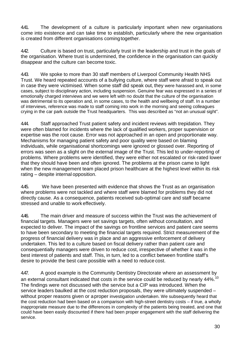4.41. The development of a culture is particularly important when new organisations come into existence and can take time to establish, particularly where the new organisation is created from different organisations comingtogether.

4.42. Culture is based on trust, particularly trust in the leadership and trust in the goals of the organisation. Where trust is undermined, the confidence in the organisation can quickly disappear and the culture can become toxic.

4.43. We spoke to more than 30 staff members of Liverpool Community Health NHS Trust. We heard repeated accounts of a bullying culture, where staff were afraid to speak out in case they were victimised. When some staff did speak out, they were harassed and, in some cases, subject to disciplinary action, including suspension. Genuine fear was expressed in a series of emotionally charged interviews and we were left with no doubt that the culture of the organisation was detrimental to its operation and, in some cases, to the health and wellbeing of staff. In a number of interviews, reference was made to staff coming into work in the morning and seeing colleagues crying in the car park outside the Trust headquarters. This was described as "not an unusual sight".

4.44. Staff approached Trust patient safety and incident reviews with trepidation. They were often blamed for incidents where the lack of qualified workers, proper supervision or expertise was the root cause. Error was not approached in an open and proportionate way. Mechanisms for managing patient safety and poor quality were based on blaming individuals, while organisational shortcomings were ignored or glossed over. Reporting of errors was seen as a slight on the external image of the Trust. This led to under-reporting of problems. Where problems were identified, they were either not escalated or risk-rated lower that they should have been and often ignored. The problems at the prison came to light when the new management team placed prison healthcare at the highest level within its risk rating – despite internal opposition.

4.45. We have been presented with evidence that shows the Trust as an organisation where problems were not tackled and where staff were blamed for problems they did not directly cause. As a consequence, patients received sub-optimal care and staff became stressed and unable to work effectively.

4.46. The main driver and measure of success within the Trust was the achievement of financial targets. Managers were set savings targets, often without consultation, and expected to deliver. The impact of the savings on frontline services and patient care seems to have been secondary to meeting the financial targets required. Strict measurement of the progress of financial delivery was in place and an aggressive enforcement of delivery undertaken. This led to a culture based on fiscal delivery rather than patient care and consequentially managers were driven to reduce cost, irrespective of whether it was in the best interest of patients and staff. This, in turn, led to a conflict between frontline staff's desire to provide the best care possible with a need to reduce cost.

447. A good example is the Community Dentistry Directorate where an assessment by an external consultant indicated that costs in the service could be reduced by nearly 44%.<sup>10</sup> The findings were not discussed with the service but a CIP was introduced. When the service leaders baulked at the cost reduction proposals, they were ultimately suspended – without proper reasons given or aproper investigation undertaken. We subsequently heard that the cost reduction had been based on a comparison with high-street dentistry costs – if true, a wholly inappropriate measure due to the differences in complexity of the patients being treated, and one that could have been easily discounted if there had been proper engagement with the staff delivering the service.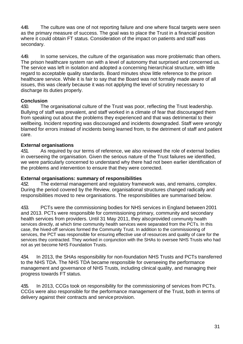4.48. The culture was one of not reporting failure and one where fiscal targets were seen as the primary measure of success. The goal was to place the Trust in a financial position where it could obtain FT status. Consideration of the impact on patients and staff was secondary.

4.49. In some services, the culture of the organisation was more problematic than others. The prison healthcare system ran with a level of autonomy that surprised and concerned us. The service was left in isolation and adopted a concerning hierarchical structure, with little regard to acceptable quality standards. Board minutes show little reference to the prison healthcare service. While it is fair to say that the Board was not formally made aware of all issues, this was clearly because it was not applying the level of scrutiny necessary to discharge its duties properly.

## **Conclusion**<br>450. The

The organisational culture of the Trust was poor, reflecting the Trust leadership. Bullying of staff was prevalent, and staff worked in a climate of fear that discouraged them from speaking out about the problems they experienced and that was detrimental to their wellbeing. Incident reporting was discouraged and incidents downgraded. Staff were wrongly blamed for errors instead of incidents being learned from, to the detriment of staff and patient care.

#### **External organisations**

4.51. As required by our terms of reference, we also reviewed the role of external bodies in overseeing the organisation. Given the serious nature of the Trust failures we identified, we were particularly concerned to understand why there had not been earlier identification of the problems and intervention to ensure that they were corrected.

#### **External organisations: summary of responsibilities**

4.52. The external management and regulatory framework was, and remains, complex. During the period covered by the Review, organisational structures changed radically and responsibilities moved to new organisations. The responsibilities are summarised below.

4.53. PCTs were the commissioning bodies for NHS services in England between 2001 and 2013. PCTs were responsible for commissioning primary, community and secondary health services from providers. Until 31 May 2011, they alsoprovided community health services directly, at which time community health services were separated from the PCTs. In this case, the hived-off services formed the Community Trust. In addition to the commissioning of services, the PCT was responsible for ensuring effective use of resources and quality of care for the services they contracted. They worked in conjunction with the SHAs to oversee NHS Trusts who had not as yet become NHS Foundation Trusts.

4.54. In 2013, the SHAs responsibility for non-foundation NHS Trusts and PCTs transferred to the NHS TDA. The NHS TDA became responsible for overseeing the performance management and governance of NHS Trusts, including clinical quality, and managing their progress towards FT status.

4.55. In 2013, CCGs took on responsibility for the commissioning of services from PCTs. CCGs were also responsible for the performance management of the Trust, both in terms of delivery against their contracts and service provision.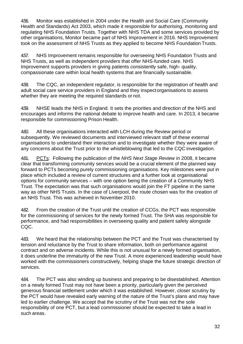4.56. Monitor was established in 2004 under the Health and Social Care (Community Health and Standards) Act 2003, which made it responsible for authorising, monitoring and regulating NHS Foundation Trusts. Together with NHS TDA and some services provided by other organisations, Monitor became part of NHS Improvement in 2016. NHS Improvement took on the assessment of NHS Trusts as they applied to become NHS Foundation Trusts.

4.57. NHS Improvement remains responsible for overseeing NHS Foundation Trusts and NHS Trusts, as well as independent providers that offer NHS-funded care. NHS Improvement supports providers in giving patients consistently safe, high- quality, compassionate care within local health systems that are financially sustainable.

4.58. The CQC, an independent regulator, is responsible for the registration of health and adult social care service providers in England and they inspectorganisations to assess whether they are meeting the required standards or not.

4.59. NHSE leads the NHS in England. It sets the priorities and direction of the NHS and encourages and informs the national debate to improve health and care. In 2013, it became responsible for commissioning Prison Health.

4.60. All these organisations interacted with LCH during the Review period or subsequently. We reviewed documents and interviewed relevant staff of these external organisations to understand their interaction and to investigate whether they were aware of any concerns about the Trust prior to the whistleblowing that led to the CQC investigation.

4.61. PCTs: Following the publication of the *NHS Next Stage Review* in 2008, it became clear that transforming community services would be a crucial element of the planned way forward to PCTs becoming purely commissioning organisations. Key milestones were put in place which included a review of current structures and a further look at organisational options for community services – with one option being the creation of a Community NHS Trust. The expectation was that such organisations would join the FT pipeline in the same way as other NHS Trusts. In the case of Liverpool, the route chosen was for the creation of an NHS Trust. This was achieved in November 2010.

4.62. From the creation of the Trust until the creation of CCGs, the PCT was responsible for the commissioning of services for the newly formed Trust. The SHA was responsible for performance, and had responsibilities in overseeing quality and patient safety alongside CQC.

4.63. We heard that the relationship between the PCT and the Trust was characterised by tension and reluctance by the Trust to share information, both on performance against contract and on adverse incidents. While this is not unusual for a newly formed organisation, it does underline the immaturity of the new Trust. A more experienced leadership would have worked with the commissioners constructively, helping shape the future strategic direction of services.

4.64. The PCT was also winding up business and preparing to be disestablished. Attention on a newly formed Trust may not have been a priority, particularly given the perceived generous financial settlement under which it was established. However, closer scrutiny by the PCT would have revealed early warning of the nature of the Trust's plans and may have led to earlier challenge. We accept that the scrutiny of the Trust was not the sole responsibility of one PCT, but a lead commissioner should be expected to take a lead in such areas.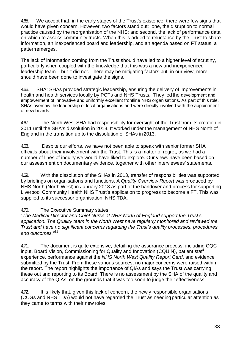4.65. We accept that, in the early stages of the Trust's existence, there were few signs that would have given concern. However, two factors stand out: one, the disruption to normal practice caused by the reorganisation of the NHS; and second, the lack of performance data on which to assess community trusts. When this is added to reluctance by the Trust to share information, an inexperienced board and leadership, and an agenda based on FT status, a patternemerges.

The lack of information coming from the Trust should have led to a higher level of scrutiny, particularly when coupled with the knowledge that this was a new and inexperienced leadership team – but it did not. There may be mitigating factors but, in our view, more should have been done to investigate the signs.

4.66. SHA: SHAs provided strategic leadership, ensuring the delivery of improvements in health and health services locally by PCTs and NHS Trusts. They led the development and empowerment of innovative and uniformly excellent frontline NHS organisations. As part of this role, SHAs oversaw the leadership of local organisations and were directly involved with the appointment of new boards.

4.67. The North West SHA had responsibility for oversight of the Trust from its creation in 2011 until the SHA's dissolution in 2013. It worked under the management of NHS North of England in the transition up to the dissolution of SHAs in 2013.

4.68. Despite our efforts, we have not been able to speak with senior former SHA officials about their involvement with the Trust. This is a matter of regret, as we had a number of lines of inquiry we would have liked to explore. Our views have been based on our assessment on documentary evidence, together with other interviewees' statements.

4.69. With the dissolution of the SHAs in 2013, transfer of responsibilities was supported by briefings on organisations and functions. A *Quality Overview Report* was produced by NHS North (North West) in January 2013 as part of the handover and process for supporting Liverpool Community Health NHS Trust's application to progress to become a FT. This was supplied to its successor organisation, NHS TDA.

4.70. The Executive Summary states:

"*The Medical Director and Chief Nurse at NHS North of England support the Trust's application. The Quality team in the North West have regularly monitored and reviewed the Trust and have no significant concerns regarding the Trust's quality processes, procedures and outcomes."*<sup>11</sup>

4.71. The document is quite extensive, detailing the assurance process, including CQC input, Board Vision, Commissioning for Quality and Innovation (CQUIN), patient staff experience, performance against the *NHS North West Quality Report Card*, and evidence submitted by the Trust. From these various sources, no major concerns were raised within the report. The report highlights the importance of QIAs and says the Trust was carrying these out and reporting to its Board. There is no assessment by the SHA of the quality and accuracy of the QIAs, on the grounds that it was too soon to judge their effectiveness.

4.72 It is likely that, given this lack of concern, the newly responsible organisations (CCGs and NHS TDA) would not have regarded the Trust as needingparticular attention as they came to terms with their new roles.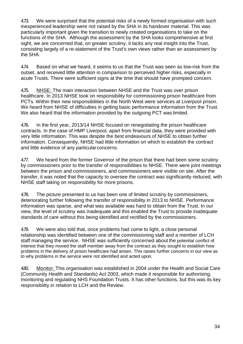4.73. We were surprised that the potential risks of a newly formed organisation with such inexperienced leadership were not raised by the SHA in its handover material. This was particularly important given the transition to newly created organisations to take on the functions of the SHA. Although the assessment by the SHA looks comprehensive at first sight, we are concerned that, on greater scrutiny, it lacks any real insight into the Trust, consisting largely of a re-statement of the Trust's own views rather than an assessment by the SHA.

4.74. Based on what we heard, it seems to us that the Trust was seen as low-risk from the outset, and received little attention in comparison to perceived higher risks, especially in acute Trusts. There were sufficient signs at the time that should have prompted concern.

4.75. NHSE: The main interaction between NHSE and the Trust was over prison healthcare. In 2013 NHSE took on responsibility for commissioning prison healthcare from PCTs. Within their new responsibilities in the North West were services at Liverpool prison. We heard from NHSE of difficulties in getting basic performance information from the Trust. We also heard that the information provided by the outgoing PCT was limited.

4.76. In the first year, 2013/14 NHSE focused on renegotiating the prison healthcare contracts. In the case of HMP Liverpool, apart from financial data, they were provided with very little information. This was despite the best endeavours of NHSE to obtain further information. Consequently, NHSE had little information on which to establish the contract and little evidence of any particularconcerns.

4.77. We heard from the former Governor of the prison that there had been some scrutiny by commissioners prior to the transfer of responsibilities to NHSE. There were joint meetings between the prison and commissioners, and commissioners were visible on site. After the transfer, it was noted that the capacity to oversee the contract was significantly reduced, with NHSE staff taking on responsibility for more prisons.

4.78. The picture presented to us has been one of limited scrutiny by commissioners, deteriorating further following the transfer of responsibility in 2013 to NHSE. Performance information was sparse, and what was available was hard to obtain from the Trust. In our view, the level of scrutiny was inadequate and this enabled the Trust to provide inadequate standards of care without this being identified and rectified by the commissioners.

4.79. We were also told that, once problems had come to light, a close personal relationship was identified between one of the commissioning staff and a member of LCH staff managing the service. NHSE was sufficiently concerned about the potential conflict of interest that they moved the staff member away from the contract as they sought to establish how problems in the delivery of prison healthcare had arisen. This raises further concerns in our view as to why problems in the service were not identified and acted upon.

480. Monitor: This organisation was established in 2004 under the Health and Social Care (Community Health and Standards) Act 2003, which made it responsible for authorising, monitoring and regulating NHS Foundation Trusts. It has other functions, but this was its key responsibility in relation to LCH and the Review.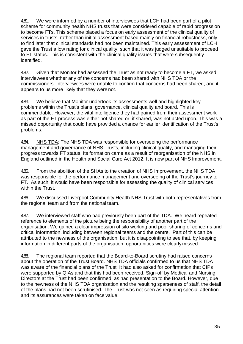4.81. We were informed by a number of interviewees that LCH had been part of a pilot scheme for community health NHS trusts that were considered capable of rapid progression to become FTs. This scheme placed a focus on early assessment of the clinical quality of services in trusts, rather than initial assessment based mainly on financial robustness, only to find later that clinical standards had not been maintained. This early assessment of LCH gave the Trust a low rating for clinical quality, such that it was judged unsuitable to proceed to FT status. This is consistent with the clinical quality issues that were subsequently identified.

4.82. Given that Monitor had assessed the Trust as not ready to become a FT, we asked interviewees whether any of the concerns had been shared with NHS TDA or the commissioners. Interviewees were unable to confirm that concerns had been shared, and it appears to us more likely that they were not.

4.83. We believe that Monitor undertook its assessments well and highlighted key problems within the Trust's plans, governance, clinical quality and board. This is commendable. However, the vital intelligence they had gained from their assessment work as part of the FT process was either not shared or, if shared, was not acted upon. This was a missed opportunity that could have provided a chance for earlier identification of the Trust's problems.

4.84. NHS TDA: The NHS TDA was responsible for overseeing the performance management and governance of NHS Trusts, including clinical quality, and managing their progress towards FT status. Its formation came as a result of reorganisation of the NHS in England outlined in the Health and Social Care Act 2012. It is now part of NHS Improvement.

4.85. From the abolition of the SHAs to the creation of NHS Improvement, the NHS TDA was responsible for the performance management and overseeing of the Trust's journey to FT. As such, it would have been responsible for assessing the quality of clinical services within the Trust.

4.86. We discussed Liverpool Community Health NHS Trust with both representatives from the regional team and from the national team.

487. We interviewed staff who had previously been part of the TDA. We heard repeated reference to elements of the picture being the responsibility of another part of the organisation. We gained a clear impression of silo working and poor sharing of concerns and critical information, including between regional teams and the centre. Part of this can be attributed to the newness of the organisation, but it is disappointing to see that, by keeping information in different parts of the organisation, opportunities were clearly missed.

4.88. The regional team reported that the Board-to-Board scrutiny had raised concerns about the operation of the Trust Board. NHS TDA officials confirmed to us that NHS TDA was aware of the financial plans of the Trust. It had also asked for confirmation that CIPs were supported by QIAs and that this had been received. Sign-off by Medical and Nursing Directors at the Trust had been confirmed, as had presentation to the Board. However, due to the newness of the NHS TDA organisation and the resulting sparseness of staff, the detail of the plans had not been scrutinised. The Trust was not seen as requiring special attention and its assurances were taken on face value.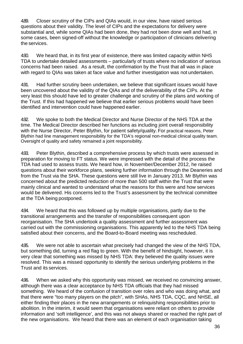4.89. Closer scrutiny of the CIPs and QIAs would, in our view, have raised serious questions about their validity. The level of CIPs and the expectations for delivery were substantial and, while some QIAs had been done, they had not been done well and had, in some cases, been signed-off without the knowledge or participation of clinicians delivering the services.

4.90. We heard that, in its first year of existence, there was limited capacity within NHS TDA to undertake detailed assessments – particularly of trusts where no indication of serious concerns had been raised. As a result, the confirmation by the Trust that all was in place with regard to QIAs was taken at face value and further investigation was not undertaken.

4.91. Had further scrutiny been undertaken, we believe that significant issues would have been uncovered about the validity of the QIAs and of the deliverability of the CIPs. At the very least this should have led to greater challenge and scrutiny of the plans and working of the Trust. If this had happened we believe that earlier serious problems would have been identified and intervention could have happened earlier.

4.92. We spoke to both the Medical Director and Nurse Director of the NHS TDA at the time. The Medical Director described her functions as including joint overall responsibility with the Nurse Director, Peter Blythin, for patient safety/quality. For practical reasons, Peter Blythin had line management responsibility for the TDA's regional non-medical clinical quality team. Oversight of quality and safety remained a joint responsibility.

4.93. Peter Blythin, described a comprehensive process by which trusts were assessed in preparation for moving to FT status. We were impressed with the detail of the process the TDA had used to assess trusts. We heard how, in November/December 2012, he raised questions about their workforce plans, seeking further information through the Deaneries and from the Trust via the SHA. These questions were still live in January 2013. Mr Blythin was concerned about the predicted reduction of more than 500 staff within the Trust that were mainly clinical and wanted to understand what the reasons for this were and how services would be delivered. His concerns led to the Trust's assessment by the technical committee at the TDA being postponed.

4.94. We heard that this was followed up by multiple organisations, partly due to the transitional arrangements and the transfer of responsibilities consequent upon reorganisation. The SHA undertook a quality assessment and further assessment was carried out with the commissioning organisations. This apparently led to the NHS TDA being satisfied about their concerns, and the Board-to-Board meeting was rescheduled.

4.95. We were not able to ascertain what precisely had changed the view of the NHS TDA, but something did, turning a red flag to green. With the benefit of hindsight, however, it is very clear that something was missed by NHS TDA: they believed the quality issues were resolved. This was a missed opportunity to identify the serious underlying problems in the Trust and its services.

4.96. When we asked why this opportunity was missed, we received no convincing answer, although there was a clear acceptance by NHS TDA officials that they had missed something. We heard of the confusion of transition over roles and who was doing what, and that there were "too many players on the pitch", with SHAs, NHS TDA, CQC, and NHSE, all either finding their places in the new arrangements or relinquishing responsibilities prior to abolition. In the interim, it would seem that organisations were reliant on others to provide information and 'soft intelligence', and this was not always shared or reached the right part of the new organisations. We heard that there was an element of each organisation taking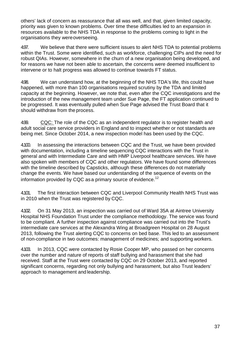others' lack of concern as reassurance that all was well, and that, given limited capacity, priority was given to known problems. Over time these difficulties led to an expansion in resources available to the NHS TDA in response to the problems coming to light in the organisations they wereoverseeing.

4.97. We believe that there were sufficient issues to alert NHS TDA to potential problems within the Trust. Some were identified, such as workforce, challenging CIPs and the need for robust QIAs. However, somewhere in the churn of a new organisation being developed, and for reasons we have not been able to ascertain, the concerns were deemed insufficient to intervene or to halt progress was allowed to continue towards FT status.

4.98. We can understand how, at the beginning of the NHS TDA's life, this could have happened, with more than 100 organisations required scrutiny by the TDA and limited capacity at the beginning. However, we note that, even after the CQC investigations and the introduction of the new management team under Sue Page, the FT application continued to be progressed. It was eventually pulled when Sue Page advised the Trust Board that it should withdraw from the process.

4.99. CQC: The role of the CQC as an independent regulator is to register health and adult social care service providers in England and to inspect whether or not standards are being met. Since October 2014, a new inspection model has been used by the CQC.

4.100. In assessing the interactions between CQC and the Trust, we have been provided with documentation, including a timeline sequencing CQC interactions with the Trust in general and with Intermediate Care and with HMP Liverpool healthcare services. We have also spoken with members of CQC and other regulators. We have found some differences with the timeline described by Capsticks, although these differences do not materially change the events. We have based our understanding of the sequence of events on the information provided by CQC as a primary source of evidence.<sup>12</sup>

4.101. The first interaction between CQC and Liverpool Community Health NHS Trust was in 2010 when the Trust was registered by CQC.

4.102. On 31 May 2013, an inspection was carried out of Ward 35A at Aintree University Hospital NHS Foundation Trust under the compliance methodology. The service was found to be compliant. A further inspection against compliance was carried out into the Trust's intermediate care services at the Alexandra Wing at Broadgreen Hospital on 28 August 2013, following the Trust alerting CQC to concerns on bed base. This led to an assessment of non-compliance in two outcomes: management of medicines; and supporting workers.

4.103. In 2013, CQC were contacted by Rosie Cooper MP, who passed on her concerns over the number and nature of reports of staff bullying and harassment that she had received. Staff at the Trust were contacted by CQC on 29 October 2013, and reported significant concerns, regarding not only bullying and harassment, but also Trust leaders' approach to management and leadership.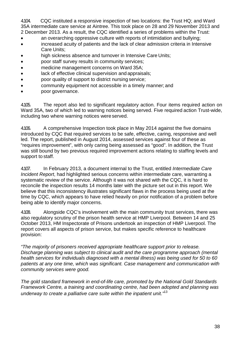4.104. CQC instituted a responsive inspection of two locations: the Trust HQ; and Ward 35A intermediate care service at Aintree. This took place on 28 and 29 November 2013 and 2 December 2013. As a result, the CQC identified a series of problems within the Trust:

- an overarching oppressive culture with reports of intimidation and bullying;
- increased acuity of patients and the lack of clear admission criteria in Intensive Care Units;
- high sickness absence and turnover in Intensive Care Units;
- poor staff survey results in community services;
- medicine management concerns on Ward 35A;
- lack of effective clinical supervision and appraisals;
- poor quality of support to district nursing service;
- community equipment not accessible in a timely manner; and
- poor governance.

4.105. The report also led to significant regulatory action. Four items required action on Ward 35A, two of which led to warning notices being served. Five required action Trust-wide, including two where warning notices were served.

4.106. A comprehensive Inspection took place in May 2014 against the five domains introduced by CQC that required services to be safe, effective, caring, responsive and well led. The report, published in August 2014, assessed services against four of these as "requires improvement", with only caring being assessed as "good". In addition, the Trust was still bound by two previous required improvement actions relating to staffing levels and support to staff.

4.107. In February 2013, a document internal to the Trust, entitled *Intermediate Care Incident Report*, had highlighted serious concerns within intermediate care, warranting a systematic review of the service. Although it was not shared with the CQC, it is hard to reconcile the inspection results 14 months later with the picture set out in this report. We believe that this inconsistency illustrates significant flaws in the process being used at the time by CQC, which appears to have relied heavily on prior notification of a problem before being able to identify major concerns.

4.108. Alongside CQC's involvement with the main community trust services, there was also regulatory scrutiny of the prison health service at HMP Liverpool. Between 14 and 25 October 2013, HM Inspectorate of Prisons undertook an inspection of HMP Liverpool. The report covers all aspects of prison service, but makes specific reference to healthcare provision:

*"The majority of prisoners received appropriate healthcare support prior to release. Discharge planning was subject to clinical audit and the care programme approach (mental health services for individuals diagnosed with a mental illness) was being used for 50 to 60 patients at any one time, which was significant. Case management and communication with community services were good.*

*The gold standard framework in end-of-life care, promoted by the National Gold Standards Framework Centre, a training and coordinating centre, had been adopted and planning was underway to create a palliative care suite within the inpatient unit."*<sup>13</sup>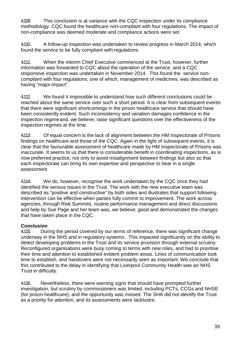4.109. This conclusion is at variance with the CQC inspection under its compliance methodology. CQC found the healthcare non-compliant with four regulations. The impact of non-compliance was deemed moderate and compliance actions were set.

4.110. A follow-up inspection was undertaken to review progress in March 2014, which found the service to be fully compliant with regulations.

4.111. When the interim Chief Executive commenced at the Trust, however, further information was forwarded to CQC about the operation of the service, and a CQC responsive inspection was undertaken in November 2014. This found the service noncompliant with four regulations, one of which, management of medicines, was described as having "major impact".

4.112. We found it impossible to understand how such different conclusions could be reached about the same service over such a short period. It is clear from subsequent events that there were significant shortcomings in the prison healthcare service that should have been consistently evident. Such inconsistency and variation damages confidence in the inspection regimeand, we believe, raise significant questions over the effectiveness of the inspection regimes at the time.

4.113. Of equal concern is the lack of alignment between the HM Inspectorate of Prisons findings on healthcare and those of the CQC. Again in the light of subsequent events, it is clear that the favourable assessment of healthcare made by HM Inspectorate of Prisons was inaccurate. It seems to us that there is considerable benefit in coordinating inspections, as is now preferred practice, not only to avoid misalignment between findings but also so that each inspectorate can bring its own expertise and perspective to bear in a single assessment.

4.114. We do, however, recognise the work undertaken by the CQC once they had identified the serious issues in the Trust. The work with the new executive team was described as "positive and constructive" by both sides and illustrates that support following intervention can be effective when parties fully commit to improvement. The work across agencies, through Risk Summits, routine performance management and direct discussions and help by Sue Page and her team was, we believe, good and demonstrated the changes that have taken place in the CQC.

#### **Conclusion**

4.115. During the period covered by our terms of reference, there was significant change underway in the NHS and in regulatory systems. This impacted significantly on the ability to detect developing problems in the Trust and its service provision through external scrutiny. Reconfigured organisations were busy coming to terms with new roles, and had to prioritise their time and attention to established evident problem areas. Lines of communication took time to establish, and handovers were not necessarily seen as important. We conclude that this contributed to the delay in identifying that Liverpool Community Health was an NHS Trust in difficulty.

4.116. Nevertheless, there were warning signs that should have prompted further investigation, but scrutiny by commissioners was limited, including PCTs, CCGs and NHSE (for prison healthcare), and the opportunity was missed. The SHA did not identify the Trust as a priority for attention, and its assessments were lacklustre.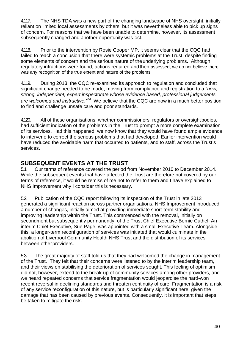4.117. The NHS TDA was a new part of the changing landscape of NHS oversight, initially reliant on limited local assessments by others, but it was nevertheless able to pick up signs of concern. For reasons that we have been unable to determine, however, its assessment subsequently changed and another opportunity waslost.

4.118. Prior to the intervention by Rosie Cooper MP, it seems clear that the CQC had failed to reach a conclusion that there were systemic problems at the Trust, despite finding some elements of concern and the serious nature of the underlying problems. Although regulatory infractions were found, actions required andthen assessed, we do not believe there was any recognition of the true extent and nature of the problems.

4.119. During 2013, the CQC re-examined its approach to regulation and concluded that significant change needed to be made, moving from compliance and registration to a "*new, strong, independent, expert inspectorate whose evidence based, professional judgements are welcomed and instructive."14* We believe that the CQC are now in a much better position to find and challenge unsafe care and poor standards.

4.120. All of these organisations, whether commissioners, regulators or oversightbodies, had sufficient indication of the problems in the Trust to prompt a more complete examination of its services. Had this happened, we now know that they would have found ample evidence to intervene to correct the serious problems that had developed. Earlier intervention would have reduced the avoidable harm that occurred to patients, and to staff, across the Trust's services.

### **SUBSEQUENT EVENTS AT THE TRUST**

5.1. Our terms of reference covered the period from November 2010 to December 2014. While the subsequent events that have affected the Trust are therefore not covered by our terms of reference, it would be remiss of me not to refer to them and I have explained to NHS Improvement why I consider this is necessary.

5.2. Publication of the CQC report following its inspection of the Trust in late 2013 generated a significant reaction across partner organisations. NHS Improvement introduced a number of changes, initially aimed at providing immediate short-term stability and improving leadership within the Trust. This commenced with the removal, initially on secondment but subsequently permanently, of the Trust Chief Executive Bernie Cuthel. An interim Chief Executive, Sue Page, was appointed with a small Executive Team. Alongside this, a longer-term reconfiguration of services was initiated that would culminate in the abolition of Liverpool Community Health NHS Trust and the distribution of its services between otherproviders.

5.3. The great majority of staff told us that they had welcomed the change in management of the Trust. They felt that their concerns were listened to by the interim leadership team, and their views on stabilising the deterioration of services sought. This feeling of optimism did not, however, extend to the break-up of community services among other providers, and we heard repeated concerns that service fragmentation would jeopardise the hard-won recent reversal in declining standards and threaten continuity of care. Fragmentation is a risk of any service reconfiguration of this nature, but is particularly significant here, given the damage that has been caused by previous events. Consequently. it is important that steps be taken to mitigate the risk.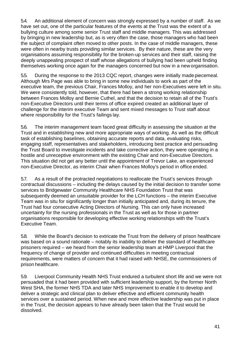5.4. An additional element of concern was strongly expressed by a number of staff. As we have set out, one of the particular features of the events at the Trust was the extent of a bullying culture among some senior Trust staff and middle managers. This was addressed by bringing in new leadership but, as is very often the case, those managers who had been the subject of complaint often moved to other posts. In the case of middle managers, these were often in nearby trusts providing similar services. By their nature, these are the very organisations assuming responsibility for the broken-up services and their staff, raising the deeply unappealing prospect of staff whose allegations of bullying had been upheld finding themselves working once again for the managers concerned but now in a new organisation.

5.5. During the response to the 2013 CQC report, changes were initially madepiecemeal. Although Mrs Page was able to bring in some new individuals to work as part of the executive team, the previous Chair, Frances Molloy, and her non-Executives were left in situ. We were consistently told, however, that there had been a strong working relationship between Frances Molloy and Bernie Cuthel, and that the decision to retain all of the Trust's non-Executive Directors until their terms of office expired created an additional layer of challenge for the interim executive Team and sent mixed messages to Trust staff about where responsibility for the Trust's failings lay.

5.6. The interim management team faced great difficulty in assessing the situation at the Trust and in establishing new and more appropriate ways of working. As well as the difficult task of establishing baselines, obtaining accurate reports and data, evaluating risks, engaging staff, representatives and stakeholders, introducing best practice and persuading the Trust Board to investigate incidents and take corrective action, they were operating in a hostile and unreceptive environment with the existing Chair and non-Executive Directors. This situation did not get any better until the appointment of Trevor Lake, an experienced non-Executive Director, as interim Chair when Frances Molloy's period in office ended.

5.7. As a result of the protracted negotiations to reallocate the Trust's services through contractual discussions – including the delays caused by the initial decision to transfer some services to Bridgewater Community Healthcare NHS Foundation Trust that was subsequently deemed an unsuitable provider for the LCH functions – the interim Executive Team was in situ for significantly longer than initially anticipated and, during its tenure, the Trust had four consecutive Acting Directors of Nursing. This can only have increased uncertainty for the nursing professionals in the Trust as well as for those in partner organisations responsible for developing effective working relationships with the Trust's Executive Team.

5.8. While the Board's decision to extricate the Trust from the delivery of prison healthcare was based on a sound rationale – notably its inability to deliver the standard of healthcare prisoners required – we heard from the senior leadership team at HMP Liverpool that the frequency of change of provider and continued difficulties in meeting contractual requirements, were matters of concern that it had raised with NHSE, the commissioners of prison healthcare.

5.9. Liverpool Community Health NHS Trust endured a turbulent short life and we were not persuaded that it had been provided with sufficient leadership support, by the former North West SHA, the former NHS TDA and later NHS Improvement to enable it to develop and deliver a strategic and clinical plan to deliver effective and efficient community health services over a sustained period. When new and more effective leadership was put in place in the Trust, the decision appears to have already been taken that the Trust would be dissolved.